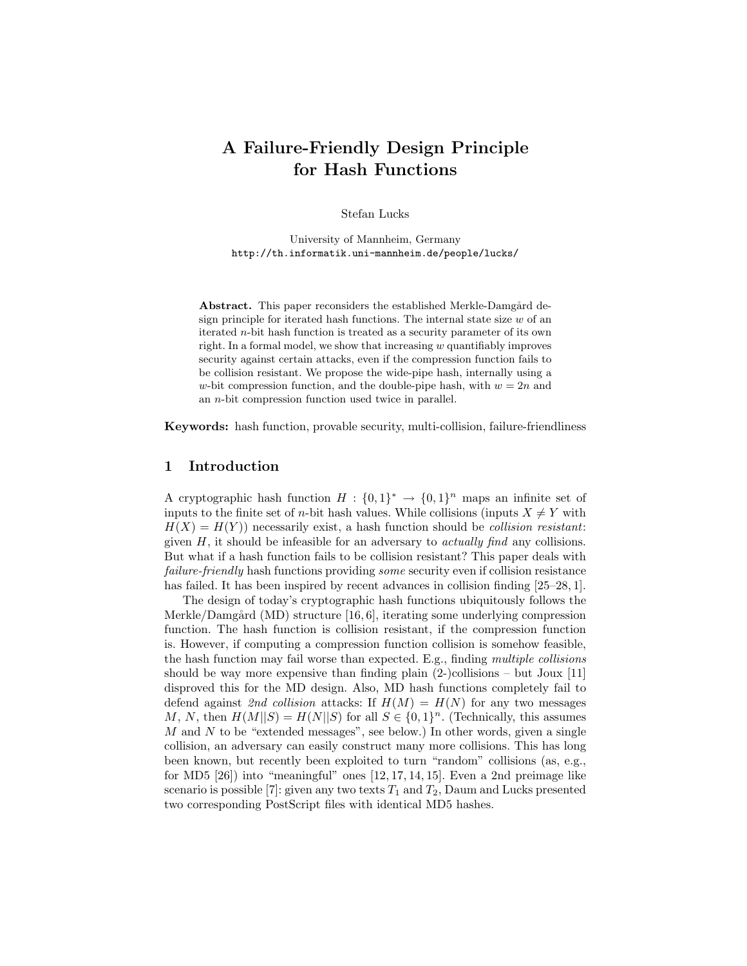# A Failure-Friendly Design Principle for Hash Functions

Stefan Lucks

University of Mannheim, Germany http://th.informatik.uni-mannheim.de/people/lucks/

Abstract. This paper reconsiders the established Merkle-Damgård design principle for iterated hash functions. The internal state size  $w$  of an iterated n-bit hash function is treated as a security parameter of its own right. In a formal model, we show that increasing  $w$  quantifiably improves security against certain attacks, even if the compression function fails to be collision resistant. We propose the wide-pipe hash, internally using a w-bit compression function, and the double-pipe hash, with  $w = 2n$  and an n-bit compression function used twice in parallel.

Keywords: hash function, provable security, multi-collision, failure-friendliness

## 1 Introduction

A cryptographic hash function  $H: \{0,1\}^* \to \{0,1\}^n$  maps an infinite set of inputs to the finite set of *n*-bit hash values. While collisions (inputs  $X \neq Y$  with  $H(X) = H(Y)$  necessarily exist, a hash function should be *collision resistant*: given  $H$ , it should be infeasible for an adversary to *actually find* any collisions. But what if a hash function fails to be collision resistant? This paper deals with failure-friendly hash functions providing some security even if collision resistance has failed. It has been inspired by recent advances in collision finding [25–28, 1].

The design of today's cryptographic hash functions ubiquitously follows the Merkle/Damgård (MD) structure [16, 6], iterating some underlying compression function. The hash function is collision resistant, if the compression function is. However, if computing a compression function collision is somehow feasible, the hash function may fail worse than expected. E.g., finding multiple collisions should be way more expensive than finding plain  $(2-)$ collisions – but Joux  $[11]$ disproved this for the MD design. Also, MD hash functions completely fail to defend against 2nd collision attacks: If  $H(M) = H(N)$  for any two messages M, N, then  $H(M||S) = H(N||S)$  for all  $S \in \{0,1\}^n$ . (Technically, this assumes  $M$  and  $N$  to be "extended messages", see below.) In other words, given a single collision, an adversary can easily construct many more collisions. This has long been known, but recently been exploited to turn "random" collisions (as, e.g., for MD5  $[26]$ ) into "meaningful" ones  $[12, 17, 14, 15]$ . Even a 2nd preimage like scenario is possible [7]: given any two texts  $T_1$  and  $T_2$ , Daum and Lucks presented two corresponding PostScript files with identical MD5 hashes.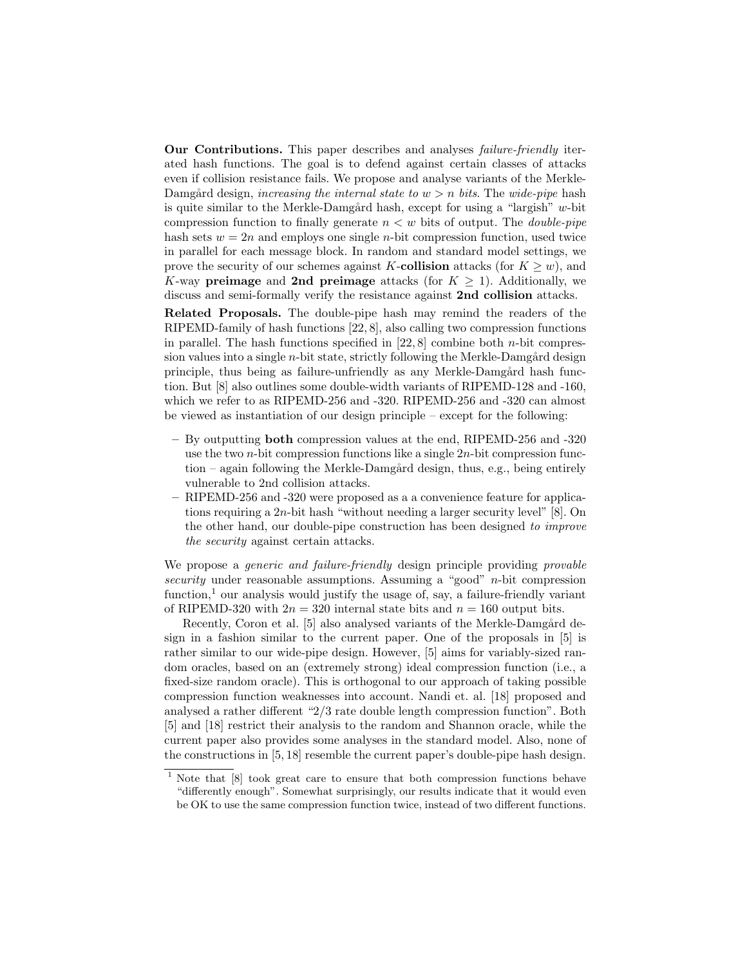Our Contributions. This paper describes and analyses failure-friendly iterated hash functions. The goal is to defend against certain classes of attacks even if collision resistance fails. We propose and analyse variants of the Merkle-Damgård design, increasing the internal state to  $w > n$  bits. The wide-pipe hash is quite similar to the Merkle-Damgård hash, except for using a "largish"  $w$ -bit compression function to finally generate  $n < w$  bits of output. The *double-pipe* hash sets  $w = 2n$  and employs one single *n*-bit compression function, used twice in parallel for each message block. In random and standard model settings, we prove the security of our schemes against K-collision attacks (for  $K \geq w$ ), and K-way preimage and 2nd preimage attacks (for  $K \geq 1$ ). Additionally, we discuss and semi-formally verify the resistance against 2nd collision attacks.

Related Proposals. The double-pipe hash may remind the readers of the RIPEMD-family of hash functions [22, 8], also calling two compression functions in parallel. The hash functions specified in  $[22, 8]$  combine both *n*-bit compression values into a single  $n$ -bit state, strictly following the Merkle-Damgård design principle, thus being as failure-unfriendly as any Merkle-Damgård hash function. But [8] also outlines some double-width variants of RIPEMD-128 and -160, which we refer to as RIPEMD-256 and -320. RIPEMD-256 and -320 can almost be viewed as instantiation of our design principle – except for the following:

- By outputting both compression values at the end, RIPEMD-256 and -320 use the two *n*-bit compression functions like a single  $2n$ -bit compression function – again following the Merkle-Damgård design, thus, e.g., being entirely vulnerable to 2nd collision attacks.
- RIPEMD-256 and -320 were proposed as a a convenience feature for applications requiring a 2n-bit hash "without needing a larger security level" [8]. On the other hand, our double-pipe construction has been designed to improve the security against certain attacks.

We propose a *generic and failure-friendly* design principle providing *provable* security under reasonable assumptions. Assuming a "good" n-bit compression function, $<sup>1</sup>$  our analysis would justify the usage of, say, a failure-friendly variant</sup> of RIPEMD-320 with  $2n = 320$  internal state bits and  $n = 160$  output bits.

Recently, Coron et al. [5] also analysed variants of the Merkle-Damgård design in a fashion similar to the current paper. One of the proposals in [5] is rather similar to our wide-pipe design. However, [5] aims for variably-sized random oracles, based on an (extremely strong) ideal compression function (i.e., a fixed-size random oracle). This is orthogonal to our approach of taking possible compression function weaknesses into account. Nandi et. al. [18] proposed and analysed a rather different "2/3 rate double length compression function". Both [5] and [18] restrict their analysis to the random and Shannon oracle, while the current paper also provides some analyses in the standard model. Also, none of the constructions in [5, 18] resemble the current paper's double-pipe hash design.

<sup>1</sup> Note that [8] took great care to ensure that both compression functions behave "differently enough". Somewhat surprisingly, our results indicate that it would even be OK to use the same compression function twice, instead of two different functions.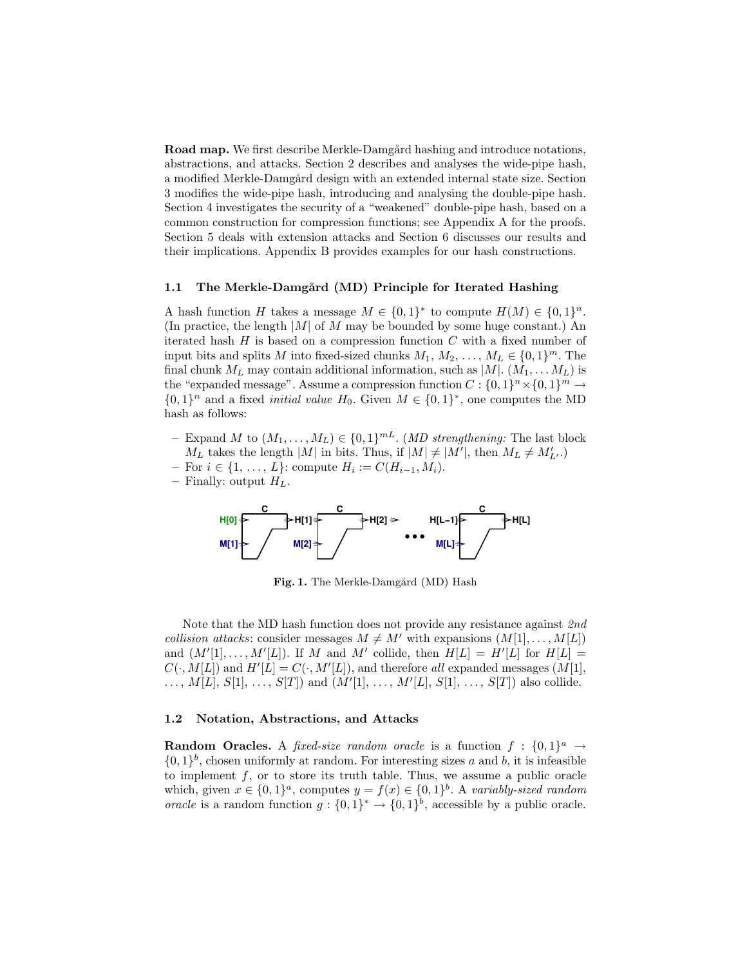**Road map.** We first describe Merkle-Damgård hashing and introduce notations, abstractions, and attacks. Section 2 describes and analyses the wide-pipe hash, a modified Merkle-Damgård design with an extended internal state size. Section 3 modifies the wide-pipe hash, introducing and analysing the double-pipe hash. Section 4 investigates the security of a "weakened" double-pipe hash, based on a common construction for compression functions; see Appendix A for the proofs. Section 5 deals with extension attacks and Section 6 discusses our results and their implications. Appendix B provides examples for our hash constructions.

## 1.1 The Merkle-Damgård (MD) Principle for Iterated Hashing

A hash function H takes a message  $M \in \{0,1\}^*$  to compute  $H(M) \in \{0,1\}^n$ . (In practice, the length  $|M|$  of M may be bounded by some huge constant.) An iterated hash  $H$  is based on a compression function  $C$  with a fixed number of input bits and splits M into fixed-sized chunks  $M_1, M_2, \ldots, M_L \in \{0, 1\}^m$ . The final chunk  $M_L$  may contain additional information, such as  $|M|$ .  $(M_1, \ldots M_L)$  is the "expanded message". Assume a compression function  $C: \{0,1\}^n \times \{0,1\}^m \rightarrow$  ${0,1}^n$  and a fixed *initial value*  $H_0$ . Given  $M \in {0,1}^*$ , one computes the MD hash as follows:

- Expand M to  $(M_1, \ldots, M_L) \in \{0, 1\}^{mL}$ . (*MD strengthening:* The last block  $M_L$  takes the length |M| in bits. Thus, if  $|M| \neq |M'|$ , then  $M_L \neq M'_{L'}$ .)
- $-$  For  $i \in \{1, ..., L\}$ : compute  $H_i := C(H_{i-1}, M_i)$ .
- Finally: output  $H_L$ .



Fig. 1. The Merkle-Damgård (MD) Hash

Note that the MD hash function does not provide any resistance against 2nd collision attacks: consider messages  $M \neq M'$  with expansions  $(M[1], \ldots, M[L])$ and  $(M'[1], \ldots, M'[L])$ . If M and M' collide, then  $H[L] = H'[L]$  for  $H[L] =$  $C(\cdot, M[L])$  and  $H'[L] = C(\cdot, M'[L])$ , and therefore all expanded messages  $(M[1],$  $\ldots, M[L], S[1], \ldots, S[T])$  and  $(M'[1], \ldots, M'[L], S[1], \ldots, S[T])$  also collide.

## 1.2 Notation, Abstractions, and Attacks

**Random Oracles.** A fixed-size random oracle is a function  $f : \{0,1\}^a \rightarrow$  $\{0,1\}^b$ , chosen uniformly at random. For interesting sizes a and b, it is infeasible to implement  $f$ , or to store its truth table. Thus, we assume a public oracle which, given  $x \in \{0,1\}^a$ , computes  $y = f(x) \in \{0,1\}^b$ . A variably-sized random *oracle* is a random function  $g: \{0,1\}^* \to \{0,1\}^b$ , accessible by a public oracle.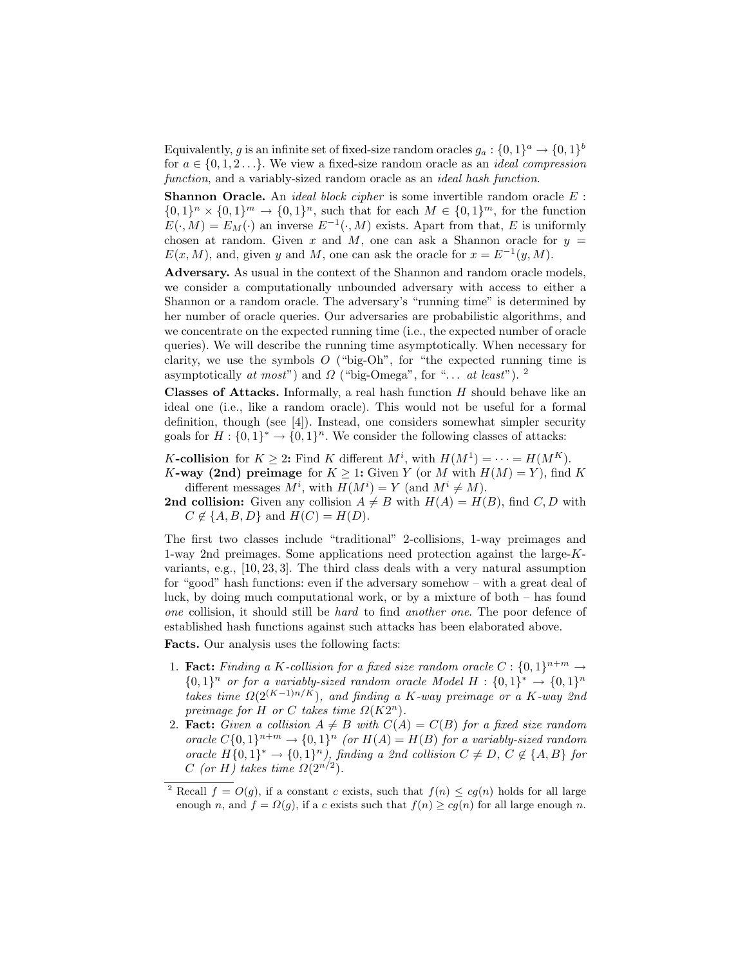Equivalently, g is an infinite set of fixed-size random oracles  $g_a: \{0,1\}^a \rightarrow \{0,1\}^b$ for  $a \in \{0, 1, 2, \ldots\}$ . We view a fixed-size random oracle as an *ideal compression* function, and a variably-sized random oracle as an *ideal hash function*.

**Shannon Oracle.** An *ideal block cipher* is some invertible random oracle  $E$ :  ${0,1}<sup>n</sup> \times {0,1}<sup>m</sup> \rightarrow {0,1}<sup>n</sup>$ , such that for each  $M \in {0,1}<sup>m</sup>$ , for the function  $E(\cdot, M) = E_M(\cdot)$  an inverse  $E^{-1}(\cdot, M)$  exists. Apart from that, E is uniformly chosen at random. Given x and M, one can ask a Shannon oracle for  $y =$  $E(x, M)$ , and, given y and M, one can ask the oracle for  $x = E^{-1}(y, M)$ .

Adversary. As usual in the context of the Shannon and random oracle models, we consider a computationally unbounded adversary with access to either a Shannon or a random oracle. The adversary's "running time" is determined by her number of oracle queries. Our adversaries are probabilistic algorithms, and we concentrate on the expected running time (i.e., the expected number of oracle queries). We will describe the running time asymptotically. When necessary for clarity, we use the symbols  $O$  ("big-Oh", for "the expected running time is asymptotically at most") and  $\Omega$  ("big-Omega", for "... at least"). <sup>2</sup>

**Classes of Attacks.** Informally, a real hash function  $H$  should behave like an ideal one (i.e., like a random oracle). This would not be useful for a formal definition, though (see [4]). Instead, one considers somewhat simpler security goals for  $H: \{0,1\}^* \to \{0,1\}^n$ . We consider the following classes of attacks:

K-collision for  $K \geq 2$ : Find K different  $M^i$ , with  $H(M^1) = \cdots = H(M^K)$ . K-way (2nd) preimage for  $K > 1$ : Given Y (or M with  $H(M) = Y$ ), find K different messages  $M^i$ , with  $H(M^i) = Y$  (and  $M^i \neq M$ ).

**2nd collision:** Given any collision  $A \neq B$  with  $H(A) = H(B)$ , find C, D with  $C \notin \{A, B, D\}$  and  $H(C) = H(D)$ .

The first two classes include "traditional" 2-collisions, 1-way preimages and 1-way 2nd preimages. Some applications need protection against the large-Kvariants, e.g., [10, 23, 3]. The third class deals with a very natural assumption for "good" hash functions: even if the adversary somehow – with a great deal of luck, by doing much computational work, or by a mixture of both – has found one collision, it should still be hard to find another one. The poor defence of established hash functions against such attacks has been elaborated above.

Facts. Our analysis uses the following facts:

- 1. **Fact:** Finding a K-collision for a fixed size random oracle  $C: \{0,1\}^{n+m} \rightarrow$  ${0,1}^n$  or for a variably-sized random oracle Model  $H: {0,1}^* \rightarrow {0,1}^n$ takes time  $\Omega(2^{(K-1)n/K})$ , and finding a K-way preimage or a K-way 2nd preimage for H or C takes time  $\Omega(K2^n)$ .
- 2. Fact: Given a collision  $A \neq B$  with  $C(A) = C(B)$  for a fixed size random oracle  $C\{0,1\}^{n+m} \to \{0,1\}^n$  (or  $H(A) = H(B)$  for a variably-sized random oracle  $H\{0,1\}^* \to \{0,1\}^n$ , finding a 2nd collision  $C \neq D$ ,  $C \notin \{A,B\}$  for C (or H) takes time  $\Omega(2^{n/2})$ .

<sup>&</sup>lt;sup>2</sup> Recall  $f = O(q)$ , if a constant c exists, such that  $f(n) \leq cg(n)$  holds for all large enough n, and  $f = \Omega(g)$ , if a c exists such that  $f(n) \geq cg(n)$  for all large enough n.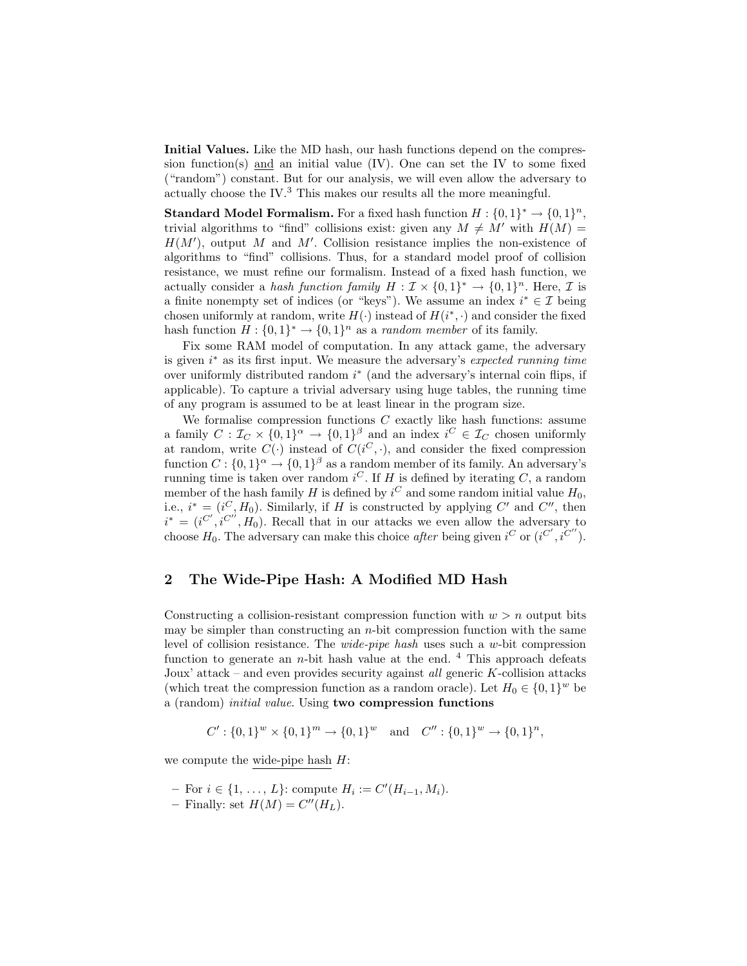Initial Values. Like the MD hash, our hash functions depend on the compression function(s) and an initial value  $(IV)$ . One can set the IV to some fixed ("random") constant. But for our analysis, we will even allow the adversary to actually choose the IV. $^3$  This makes our results all the more meaningful.

**Standard Model Formalism.** For a fixed hash function  $H: \{0,1\}^* \to \{0,1\}^n$ , trivial algorithms to "find" collisions exist: given any  $M \neq M'$  with  $H(M) =$  $H(M')$ , output M and M'. Collision resistance implies the non-existence of algorithms to "find" collisions. Thus, for a standard model proof of collision resistance, we must refine our formalism. Instead of a fixed hash function, we actually consider a hash function family  $H : \mathcal{I} \times \{0,1\}^* \to \{0,1\}^n$ . Here,  $\mathcal{I}$  is a finite nonempty set of indices (or "keys"). We assume an index  $i^* \in \mathcal{I}$  being chosen uniformly at random, write  $H(\cdot)$  instead of  $H(i^*, \cdot)$  and consider the fixed hash function  $H: \{0,1\}^* \to \{0,1\}^n$  as a *random member* of its family.

Fix some RAM model of computation. In any attack game, the adversary is given  $i^*$  as its first input. We measure the adversary's expected running time over uniformly distributed random  $i^*$  (and the adversary's internal coin flips, if applicable). To capture a trivial adversary using huge tables, the running time of any program is assumed to be at least linear in the program size.

We formalise compression functions  $C$  exactly like hash functions: assume a family  $C: \mathcal{I}_C \times \{0,1\}^\alpha \to \{0,1\}^\beta$  and an index  $i^C \in \mathcal{I}_C$  chosen uniformly at random, write  $C(\cdot)$  instead of  $C(i^C, \cdot)$ , and consider the fixed compression function  $C: \{0,1\}^{\alpha} \to \{0,1\}^{\beta}$  as a random member of its family. An adversary's running time is taken over random  $i^C$ . If H is defined by iterating C, a random member of the hash family  $H$  is defined by  $i^C$  and some random initial value  $H_0$ , i.e.,  $i^* = (i^C, H_0)$ . Similarly, if H is constructed by applying C' and C'', then  $i^* = (i^{C'}, i^{C''}, H_0)$ . Recall that in our attacks we even allow the adversary to choose  $H_0$ . The adversary can make this choice after being given  $i^C$  or  $(i^{C'}, i^{C''})$ .

## 2 The Wide-Pipe Hash: A Modified MD Hash

Constructing a collision-resistant compression function with  $w > n$  output bits may be simpler than constructing an  $n$ -bit compression function with the same level of collision resistance. The wide-pipe hash uses such a w-bit compression function to generate an *n*-bit hash value at the end.  $4$  This approach defeats Joux' attack – and even provides security against all generic  $K$ -collision attacks (which treat the compression function as a random oracle). Let  $H_0 \in \{0,1\}^w$  be a (random) initial value. Using two compression functions

$$
C': \{0,1\}^w \times \{0,1\}^m \to \{0,1\}^w \text{ and } C''': \{0,1\}^w \to \{0,1\}^n,
$$

we compute the wide-pipe hash  $H$ :

- $-$  For  $i \in \{1, ..., L\}$ : compute  $H_i := C'(H_{i-1}, M_i)$ .
- Finally: set  $H(M) = C''(H_L)$ .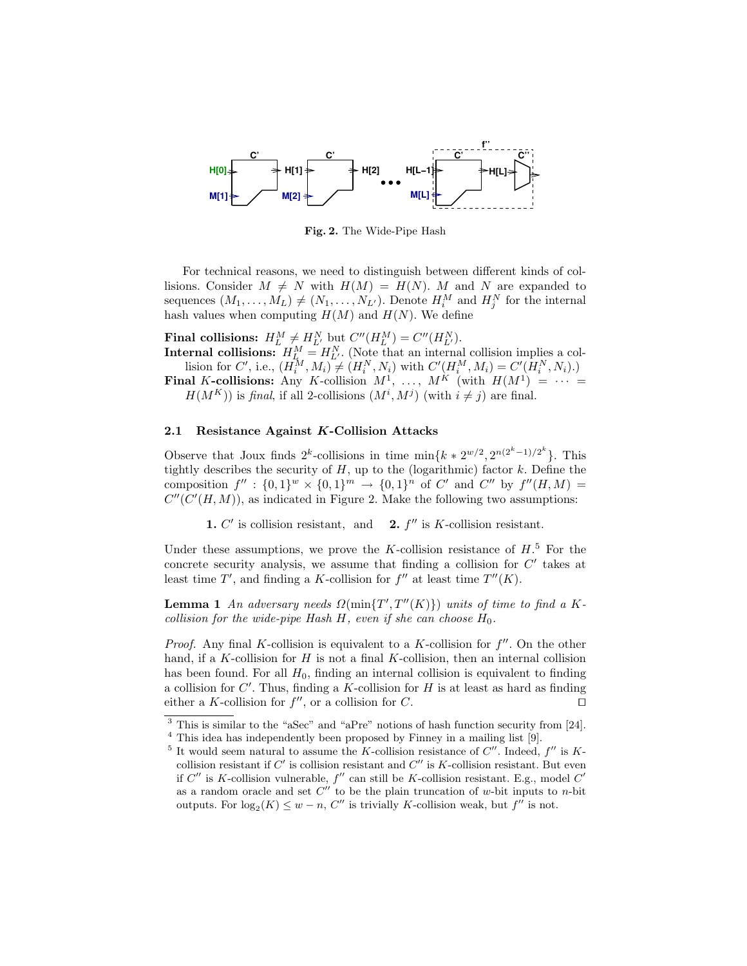

Fig. 2. The Wide-Pipe Hash

For technical reasons, we need to distinguish between different kinds of collisions. Consider  $M \neq N$  with  $H(M) = H(N)$ . M and N are expanded to sequences  $(M_1, \ldots, M_L) \neq (N_1, \ldots, N_{L'})$ . Denote  $H_i^M$  and  $H_j^N$  for the internal hash values when computing  $H(M)$  and  $H(N)$ . We define

Final collisions:  $H_L^M \neq H_{L'}^N$  but  $C''(H_L^M) = C''(H_{L'}^N)$ .

**Internal collisions:**  $H_{L_i}^M = H_{L_i}^N$ . (Note that an internal collision implies a collision for C', i.e.,  $(H_i^M, M_i) \neq (H_i^N, N_i)$  with  $C'(\mu_i^M, M_i) = C'(H_i^N, N_i)$ .)

Final K-collisions: Any K-collision  $M^1$ , ...,  $M^K$  (with  $H(M^1) = \cdots =$  $H(M^K)$ ) is final, if all 2-collisions  $(M^i, M^j)$  (with  $i \neq j$ ) are final.

## 2.1 Resistance Against K-Collision Attacks

Observe that Joux finds  $2^k$ -collisions in time  $\min\{k * 2^{w/2}, 2^{n(2^k-1)/2^k}\}\$ . This tightly describes the security of  $H$ , up to the (logarithmic) factor  $k$ . Define the composition  $f'' : \{0,1\}^w \times \{0,1\}^m \to \{0,1\}^n$  of C' and C'' by  $f''(H,M) =$  $C''(C'(H, M))$ , as indicated in Figure 2. Make the following two assumptions:

1.  $C'$  is collision resistant, and 2.  $f$ **2.**  $f''$  is K-collision resistant.

Under these assumptions, we prove the K-collision resistance of  $H<sup>5</sup>$  For the concrete security analysis, we assume that finding a collision for  $C'$  takes at least time  $T'$ , and finding a K-collision for  $f''$  at least time  $T''(K)$ .

**Lemma 1** An adversary needs  $\Omega(\min\{T', T''(K)\})$  units of time to find a Kcollision for the wide-pipe Hash  $H$ , even if she can choose  $H_0$ .

*Proof.* Any final K-collision is equivalent to a K-collision for  $f''$ . On the other hand, if a K-collision for  $H$  is not a final K-collision, then an internal collision has been found. For all  $H_0$ , finding an internal collision is equivalent to finding a collision for  $C'$ . Thus, finding a  $K$ -collision for  $H$  is at least as hard as finding either a K-collision for  $f''$ , or a collision for C.

<sup>&</sup>lt;sup>3</sup> This is similar to the "aSec" and "aPre" notions of hash function security from [24].

<sup>4</sup> This idea has independently been proposed by Finney in a mailing list [9].

<sup>&</sup>lt;sup>5</sup> It would seem natural to assume the K-collision resistance of  $C''$ . Indeed,  $f''$  is Kcollision resistant if  $C'$  is collision resistant and  $C''$  is K-collision resistant. But even if  $C''$  is K-collision vulnerable,  $f''$  can still be K-collision resistant. E.g., model  $C'$ as a random oracle and set  $C''$  to be the plain truncation of w-bit inputs to n-bit outputs. For  $log_2(K) \leq w - n$ , C'' is trivially K-collision weak, but  $f''$  is not.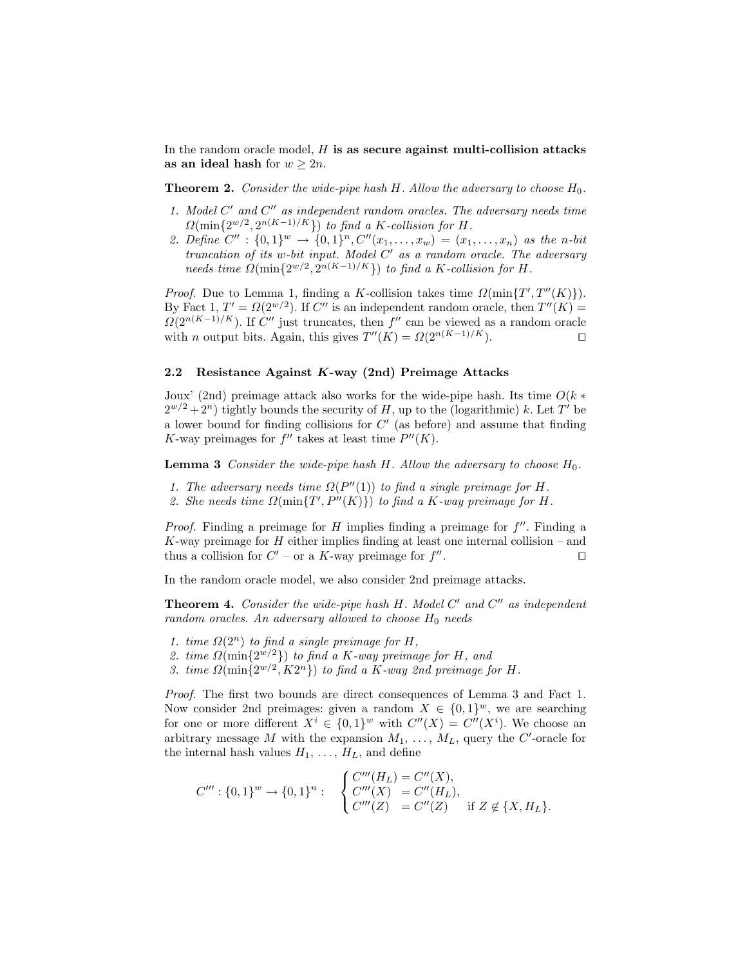In the random oracle model,  $H$  is as secure against multi-collision attacks as an ideal hash for  $w \geq 2n$ .

**Theorem 2.** Consider the wide-pipe hash H. Allow the adversary to choose  $H_0$ .

- 1. Model  $C'$  and  $C''$  as independent random oracles. The adversary needs time  $\Omega(\min\{2^{w/2},2^{n(K-1)/K}\})$  to find a K-collision for H.
- 2. Define  $C'' : \{0,1\}^w \to \{0,1\}^n, C''(x_1,\ldots,x_w) = (x_1,\ldots,x_n)$  as the n-bit  $truncation$  of its w-bit input. Model  $C'$  as a random oracle. The adversary needs time  $\Omega(\min\{2^{w/2}, 2^{n(K-1)/K}\})$  to find a K-collision for H.

*Proof.* Due to Lemma 1, finding a K-collision takes time  $\Omega(\min\{T', T''(K)\})$ . By Fact 1,  $T' = \Omega(2^{w/2})$ . If  $C''$  is an independent random oracle, then  $T''(K) =$  $\Omega(2^{n(K-1)/K})$ . If C'' just truncates, then f'' can be viewed as a random oracle with *n* output bits. Again, this gives  $T''(K) = \Omega(2^{n(K-1)/K})$ .

## 2.2 Resistance Against K-way (2nd) Preimage Attacks

Joux' (2nd) preimage attack also works for the wide-pipe hash. Its time  $O(k*)$  $2^{w/2} + 2^v$  tightly bounds the security of H, up to the (logarithmic) k. Let T' be a lower bound for finding collisions for  $C'$  (as before) and assume that finding K-way preimages for  $f''$  takes at least time  $P''(K)$ .

**Lemma 3** Consider the wide-pipe hash  $H$ . Allow the adversary to choose  $H_0$ .

- 1. The adversary needs time  $\Omega(P''(1))$  to find a single preimage for H.
- 2. She needs time  $\Omega(\min\{T', P''(K)\})$  to find a K-way preimage for H.

*Proof.* Finding a preimage for  $H$  implies finding a preimage for  $f''$ . Finding a K-way preimage for  $H$  either implies finding at least one internal collision – and thus a collision for  $C'$  – or a K-way preimage for  $f''$ . The contract of the contract  $\Box$ 

In the random oracle model, we also consider 2nd preimage attacks.

**Theorem 4.** Consider the wide-pipe hash  $H$ . Model  $C'$  and  $C''$  as independent random oracles. An adversary allowed to choose  $H_0$  needs

- 1. time  $\Omega(2^n)$  to find a single preimage for H,
- 2. time  $\Omega(\min\{2^{w/2}\})$  to find a K-way preimage for H, and
- 3. time  $\Omega(\min\{2^{w/2}, K2^n\})$  to find a K-way 2nd preimage for H.

Proof. The first two bounds are direct consequences of Lemma 3 and Fact 1. Now consider 2nd preimages: given a random  $X \in \{0,1\}^w$ , we are searching for one or more different  $X^i \in \{0,1\}^w$  with  $C''(X) = C''(X^i)$ . We choose an arbitrary message M with the expansion  $M_1, \ldots, M_L$ , query the C'-oracle for the internal hash values  $H_1, \ldots, H_L$ , and define

$$
C''' : \{0,1\}^w \to \{0,1\}^n : \begin{cases} C'''(H_L) = C''(X), \\ C'''(X) = C''(H_L), \\ C'''(Z) = C''(Z) \end{cases}
$$
 if  $Z \notin \{X, H_L\}.$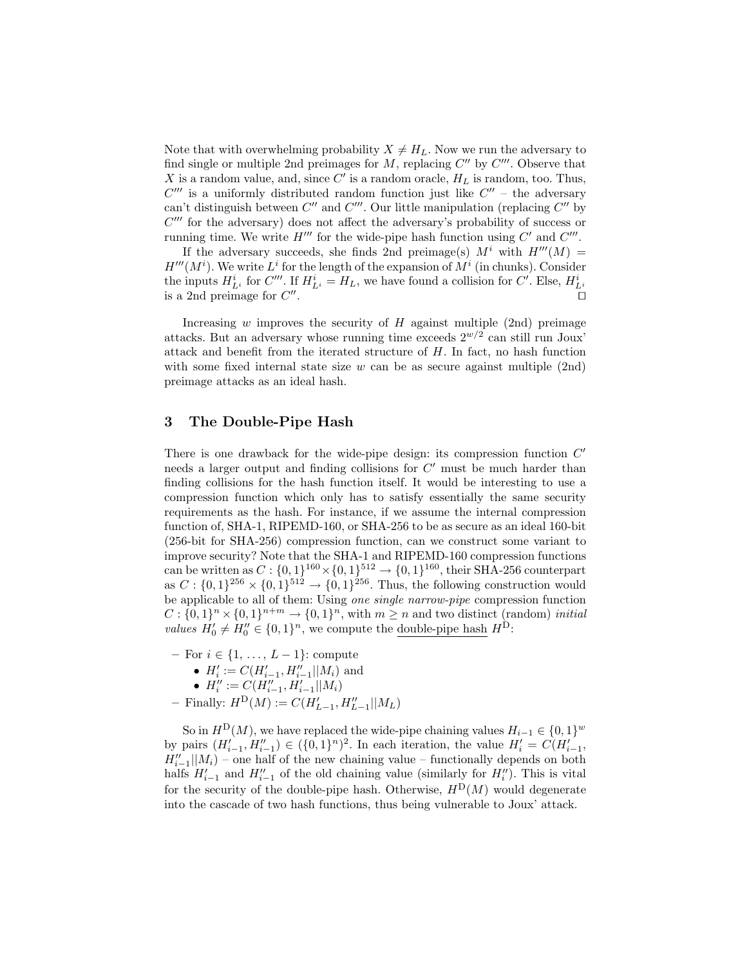Note that with overwhelming probability  $X \neq H_L$ . Now we run the adversary to find single or multiple 2nd preimages for  $M$ , replacing  $C''$  by  $C'''$ . Observe that X is a random value, and, since  $C'$  is a random oracle,  $H_L$  is random, too. Thus,  $C'''$  is a uniformly distributed random function just like  $C''$  – the adversary can't distinguish between  $C''$  and  $C'''$ . Our little manipulation (replacing  $C''$  by  $C'''$  for the adversary) does not affect the adversary's probability of success or running time. We write  $H'''$  for the wide-pipe hash function using  $C'$  and  $C'''$ .

If the adversary succeeds, she finds 2nd preimage(s)  $M^i$  with  $H'''(M) =$  $H'''(M^i)$ . We write  $L^i$  for the length of the expansion of  $M^i$  (in chunks). Consider the inputs  $H_{L^i}^i$  for  $C'''$ . If  $H_{L^i}^i = H_L$ , we have found a collision for  $C'$ . Else,  $H_{L^i}^i$ is a 2nd preimage for  $C''$ . The contract of the contract of the contract of the contract of the contract of the contract of the contract of the contract of the contract of the contract of the contract of the contract of the contract of the contract

Increasing  $w$  improves the security of  $H$  against multiple (2nd) preimage attacks. But an adversary whose running time exceeds  $2^{w/2}$  can still run Joux' attack and benefit from the iterated structure of H. In fact, no hash function with some fixed internal state size w can be as secure against multiple  $(2nd)$ preimage attacks as an ideal hash.

## 3 The Double-Pipe Hash

There is one drawback for the wide-pipe design: its compression function  $C'$ needs a larger output and finding collisions for  $C'$  must be much harder than finding collisions for the hash function itself. It would be interesting to use a compression function which only has to satisfy essentially the same security requirements as the hash. For instance, if we assume the internal compression function of, SHA-1, RIPEMD-160, or SHA-256 to be as secure as an ideal 160-bit (256-bit for SHA-256) compression function, can we construct some variant to improve security? Note that the SHA-1 and RIPEMD-160 compression functions can be written as  $C: \{0,1\}^{160} \times \{0,1\}^{512} \rightarrow \{0,1\}^{160}$ , their SHA-256 counterpart as  $C: \{0,1\}^{256} \times \{0,1\}^{512} \to \{0,1\}^{256}$ . Thus, the following construction would be applicable to all of them: Using one single narrow-pipe compression function  $C: \{0,1\}^n \times \{0,1\}^{n+m} \to \{0,1\}^n$ , with  $m \geq n$  and two distinct (random) *initial* values  $H'_0 \neq H''_0 \in \{0,1\}^n$ , we compute the double-pipe hash  $H^D$ :

– For  $i \in \{1, \ldots, L-1\}$ : compute •  $H'_i := C(H'_{i-1}, H''_{i-1}||M_i)$  and •  $H''_i := C(H''_{i-1}, H'_{i-1}||M_i)$  $-$  Finally:  $H^{D}(M) := C(H'_{L-1}, H''_{L-1}||M_L)$ 

So in  $H^{\text{D}}(M)$ , we have replaced the wide-pipe chaining values  $H_{i-1} \in \{0,1\}^w$ by pairs  $(H'_{i-1}, H''_{i-1}) \in (\{0, 1\}^n)^2$ . In each iteration, the value  $H'_i = C(H'_{i-1},$  $H''_{i-1}$ || $M_i$ ) – one half of the new chaining value – functionally depends on both halfs  $H'_{i-1}$  and  $H''_{i-1}$  of the old chaining value (similarly for  $H''_i$ ). This is vital for the security of the double-pipe hash. Otherwise,  $H^{\text{D}}(M)$  would degenerate into the cascade of two hash functions, thus being vulnerable to Joux' attack.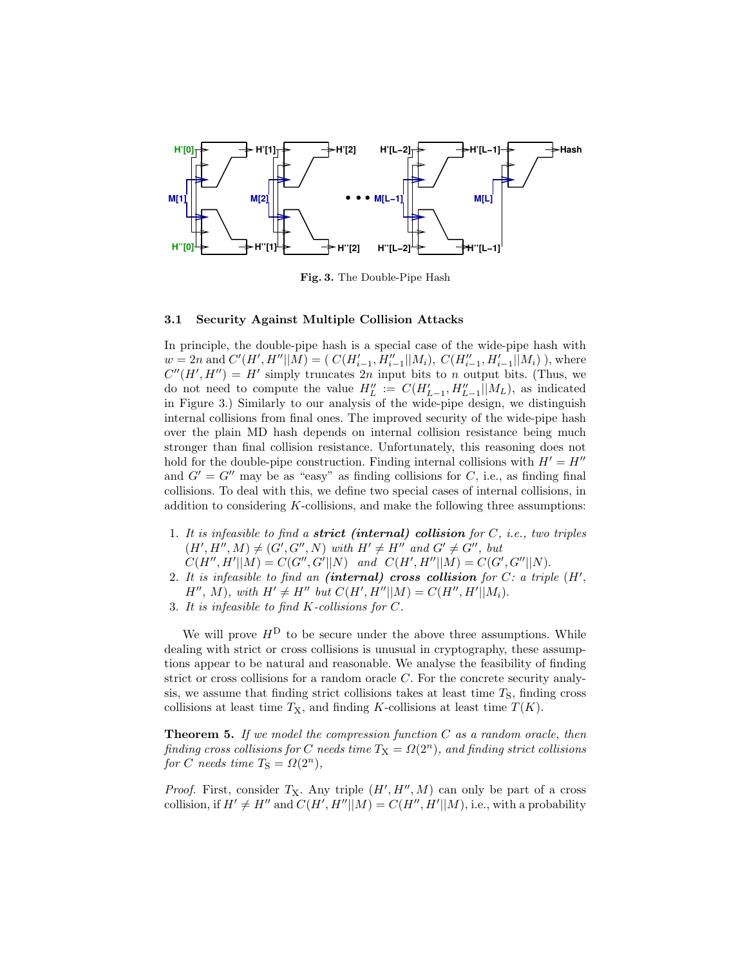

Fig. 3. The Double-Pipe Hash

### 3.1 Security Against Multiple Collision Attacks

In principle, the double-pipe hash is a special case of the wide-pipe hash with  $w = 2n$  and  $C'(H', H''||M) = ( C(H'_{i-1}, H''_{i-1}||M_i), C(H''_{i-1}, H'_{i-1}||M_i)$ , where  $C''(H', H'') = H'$  simply truncates 2n input bits to n output bits. (Thus, we do not need to compute the value  $H''_L := C(H'_{L-1}, H''_{L-1}||M_L)$ , as indicated in Figure 3.) Similarly to our analysis of the wide-pipe design, we distinguish internal collisions from final ones. The improved security of the wide-pipe hash over the plain MD hash depends on internal collision resistance being much stronger than final collision resistance. Unfortunately, this reasoning does not hold for the double-pipe construction. Finding internal collisions with  $H' = H''$ and  $G' = G''$  may be as "easy" as finding collisions for C, i.e., as finding final collisions. To deal with this, we define two special cases of internal collisions, in addition to considering  $K$ -collisions, and make the following three assumptions:

- 1. It is infeasible to find a **strict** (internal) collision for  $C$ , i.e., two triples  $(H', H'', M) \neq (G', G'', N)$  with  $H' \neq H''$  and  $G' \neq G''$ , but  $C(H'', H' || M) = C(G'', G' || N)$  and  $C(H', H'' || M) = C(G', G'' || N)$ .
- 2. It is infeasible to find an (internal) cross collision for  $C$ : a triple  $(H',$  $H'', M$ , with  $H' \neq H''$  but  $C(H', H''||M) = C(H'', H'||M_i)$ .
- 3. It is infeasible to find K-collisions for C.

We will prove  $H<sup>D</sup>$  to be secure under the above three assumptions. While dealing with strict or cross collisions is unusual in cryptography, these assumptions appear to be natural and reasonable. We analyse the feasibility of finding strict or cross collisions for a random oracle C. For the concrete security analysis, we assume that finding strict collisions takes at least time  $T<sub>S</sub>$ , finding cross collisions at least time  $T<sub>X</sub>$ , and finding K-collisions at least time  $T(K)$ .

**Theorem 5.** If we model the compression function  $C$  as a random oracle, then finding cross collisions for C needs time  $T_X = \Omega(2^n)$ , and finding strict collisions for C needs time  $T_S = \Omega(2^n)$ ,

*Proof.* First, consider  $T_X$ . Any triple  $(H', H'', M)$  can only be part of a cross collision, if  $H' \neq H''$  and  $C(H', H''||M) = C(H'', H'||M)$ , i.e., with a probability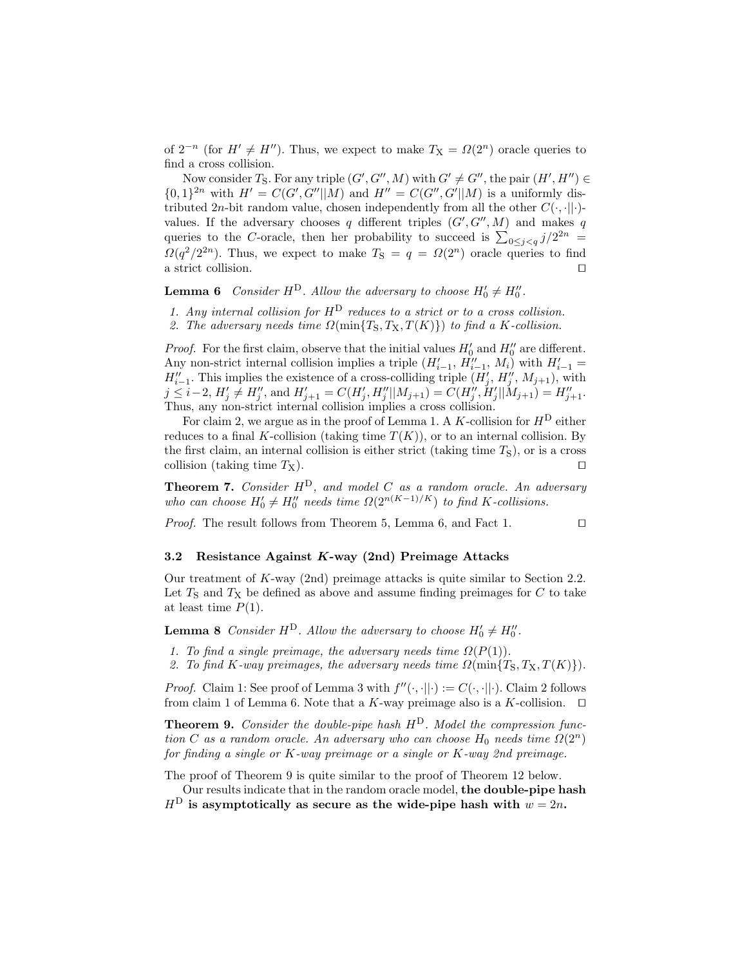of  $2^{-n}$  (for  $H' \neq H''$ ). Thus, we expect to make  $T_X = \Omega(2^n)$  oracle queries to find a cross collision.

Now consider  $T_S$ . For any triple  $(G', G'', M)$  with  $G' \neq G''$ , the pair  $(H', H'') \in$  $\{0,1\}^{2n}$  with  $H' = C(G', G''||M)$  and  $H'' = C(G'', G'||M)$  is a uniformly distributed 2n-bit random value, chosen independently from all the other  $C(\cdot, \cdot||\cdot)$ values. If the adversary chooses q different triples  $(G', G'', M)$  and makes q queries to the C-oracle, then her probability to succeed is  $\sum_{0 \leq j < q} j/2^{2n} =$  $\Omega(q^2/2^{2n})$ . Thus, we expect to make  $T_s = q = \Omega(2^n)$  oracle queries to find a strict collision.

**Lemma 6** Consider  $H^D$ . Allow the adversary to choose  $H'_0 \neq H''_0$ .

1. Any internal collision for  $H^D$  reduces to a strict or to a cross collision. 2. The adversary needs time  $\Omega(\min\{T_S, T_X, T(K)\})$  to find a K-collision.

*Proof.* For the first claim, observe that the initial values  $H'_0$  and  $H''_0$  are different. Any non-strict internal collision implies a triple  $(H'_{i-1}, H''_{i-1}, M_i)$  with  $H'_{i-1} =$  $H''_{i-1}$ . This implies the existence of a cross-colliding triple  $(H'_{j}, H''_{j}, M_{j+1})$ , with  $j \leq i-2$ ,  $H'_{j} \neq H''_{j}$ , and  $H'_{j+1} = C(H'_{j}, H''_{j}||M_{j+1}) = C(H''_{j}, H'_{j}||M_{j+1}) = H''_{j+1}$ . Thus, any non-strict internal collision implies a cross collision.

For claim 2, we argue as in the proof of Lemma 1. A K-collision for  $H^D$  either reduces to a final K-collision (taking time  $T(K)$ ), or to an internal collision. By the first claim, an internal collision is either strict (taking time  $T<sub>S</sub>$ ), or is a cross collision (taking time  $T_X$ ).

**Theorem 7.** Consider  $H^D$ , and model C as a random oracle. An adversary who can choose  $H'_0 \neq H''_0$  needs time  $\Omega(2^{n(K-1)/K})$  to find K-collisions.

*Proof.* The result follows from Theorem 5, Lemma 6, and Fact 1.  $\Box$ 

#### 3.2 Resistance Against K-way (2nd) Preimage Attacks

Our treatment of K-way (2nd) preimage attacks is quite similar to Section 2.2. Let  $T<sub>S</sub>$  and  $T<sub>X</sub>$  be defined as above and assume finding preimages for C to take at least time  $P(1)$ .

**Lemma 8** Consider  $H^D$ . Allow the adversary to choose  $H'_0 \neq H''_0$ .

- 1. To find a single preimage, the adversary needs time  $\Omega(P(1))$ .
- 2. To find K-way preimages, the adversary needs time  $\Omega(\min\{T_S, T_X, T(K)\})$ .

*Proof.* Claim 1: See proof of Lemma 3 with  $f''(\cdot, \cdot||\cdot) := C(\cdot, \cdot||\cdot)$ . Claim 2 follows from claim 1 of Lemma 6. Note that a K-way preimage also is a K-collision.  $\Box$ 

**Theorem 9.** Consider the double-pipe hash  $H<sup>D</sup>$ . Model the compression function C as a random oracle. An adversary who can choose  $H_0$  needs time  $\Omega(2^n)$ for finding a single or K-way preimage or a single or K-way 2nd preimage.

The proof of Theorem 9 is quite similar to the proof of Theorem 12 below.

Our results indicate that in the random oracle model, the double-pipe hash  $H<sup>D</sup>$  is asymptotically as secure as the wide-pipe hash with  $w = 2n$ .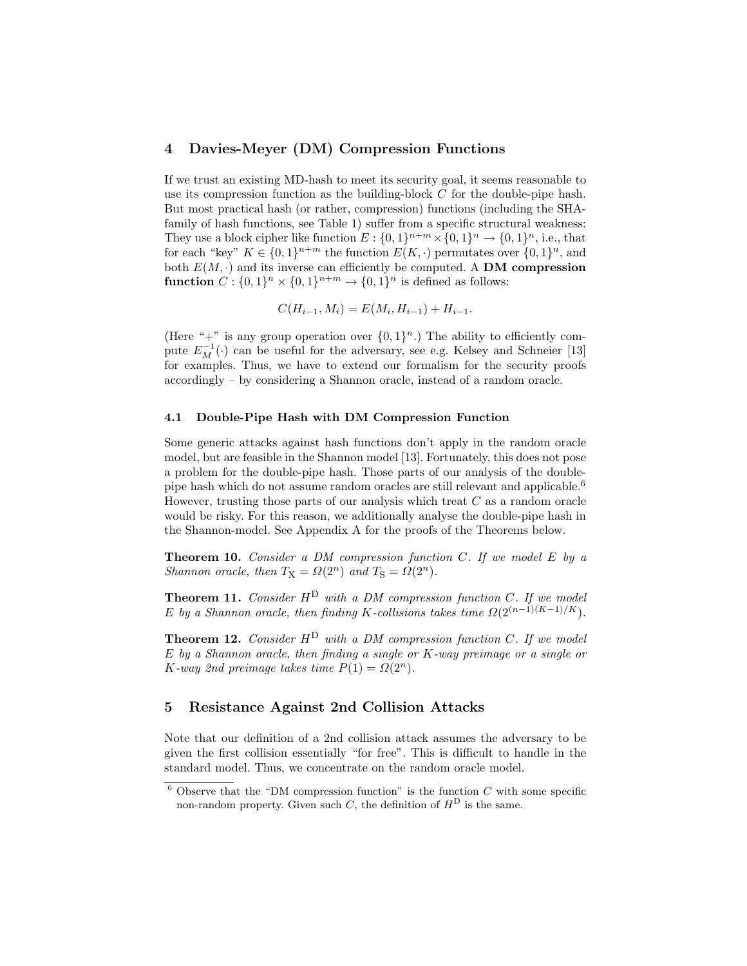## 4 Davies-Meyer (DM) Compression Functions

If we trust an existing MD-hash to meet its security goal, it seems reasonable to use its compression function as the building-block  $C$  for the double-pipe hash. But most practical hash (or rather, compression) functions (including the SHAfamily of hash functions, see Table 1) suffer from a specific structural weakness: They use a block cipher like function  $E: \{0,1\}^{n+m} \times \{0,1\}^n \rightarrow \{0,1\}^n$ , i.e., that for each "key"  $K \in \{0,1\}^{n+m}$  the function  $E(K, \cdot)$  permutates over  $\{0,1\}^n$ , and both  $E(M, \cdot)$  and its inverse can efficiently be computed. A DM compression function  $C: \{0,1\}^n \times \{0,1\}^{n+m} \to \{0,1\}^n$  is defined as follows:

$$
C(H_{i-1}, M_i) = E(M_i, H_{i-1}) + H_{i-1}.
$$

(Here "+" is any group operation over  $\{0,1\}^n$ .) The ability to efficiently compute  $E_M^{-1}(\cdot)$  can be useful for the adversary, see e.g. Kelsey and Schneier [13] for examples. Thus, we have to extend our formalism for the security proofs accordingly – by considering a Shannon oracle, instead of a random oracle.

#### 4.1 Double-Pipe Hash with DM Compression Function

Some generic attacks against hash functions don't apply in the random oracle model, but are feasible in the Shannon model [13]. Fortunately, this does not pose a problem for the double-pipe hash. Those parts of our analysis of the doublepipe hash which do not assume random oracles are still relevant and applicable.<sup>6</sup> However, trusting those parts of our analysis which treat  $C$  as a random oracle would be risky. For this reason, we additionally analyse the double-pipe hash in the Shannon-model. See Appendix A for the proofs of the Theorems below.

**Theorem 10.** Consider a DM compression function C. If we model  $E$  by a Shannon oracle, then  $T_X = \Omega(2^n)$  and  $T_S = \Omega(2^n)$ .

**Theorem 11.** Consider  $H^D$  with a DM compression function C. If we model E by a Shannon oracle, then finding K-collisions takes time  $\Omega(2^{(n-1)(K-1)/K})$ .

**Theorem 12.** Consider  $H^D$  with a DM compression function C. If we model  $E$  by a Shannon oracle, then finding a single or  $K$ -way preimage or a single or K-way 2nd preimage takes time  $P(1) = \Omega(2^n)$ .

## 5 Resistance Against 2nd Collision Attacks

Note that our definition of a 2nd collision attack assumes the adversary to be given the first collision essentially "for free". This is difficult to handle in the standard model. Thus, we concentrate on the random oracle model.

 $\frac{6}{6}$  Observe that the "DM compression function" is the function C with some specific non-random property. Given such C, the definition of  $H<sup>D</sup>$  is the same.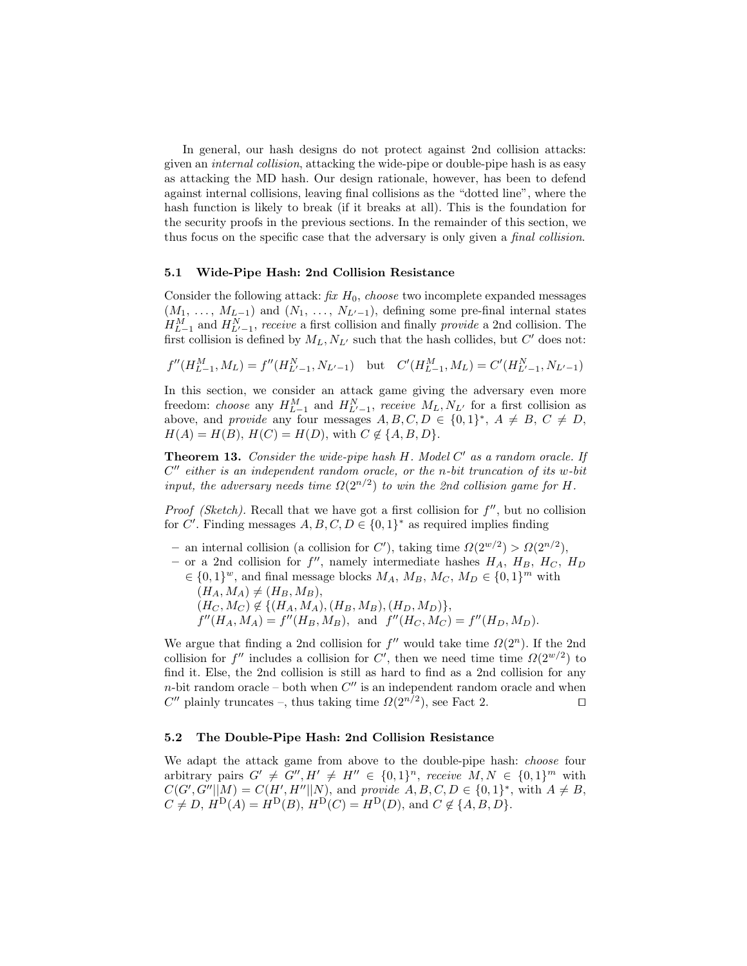In general, our hash designs do not protect against 2nd collision attacks: given an internal collision, attacking the wide-pipe or double-pipe hash is as easy as attacking the MD hash. Our design rationale, however, has been to defend against internal collisions, leaving final collisions as the "dotted line", where the hash function is likely to break (if it breaks at all). This is the foundation for the security proofs in the previous sections. In the remainder of this section, we thus focus on the specific case that the adversary is only given a final collision.

#### 5.1 Wide-Pipe Hash: 2nd Collision Resistance

Consider the following attack:  $\hat{f}x H_0$ , *choose* two incomplete expanded messages  $(M_1, \ldots, M_{L-1})$  and  $(N_1, \ldots, N_{L'-1})$ , defining some pre-final internal states  $H_{L-1}^M$  and  $H_{L'-1}^N$ , receive a first collision and finally *provide* a 2nd collision. The first collision is defined by  $M_L, N_{L'}$  such that the hash collides, but  $C'$  does not:

$$
f''(H_{L-1}^M, M_L) = f''(H_{L'-1}^N, N_{L'-1})
$$
 but  $C'(H_{L-1}^M, M_L) = C'(H_{L'-1}^N, N_{L'-1})$ 

In this section, we consider an attack game giving the adversary even more freedom: *choose* any  $H_{L-1}^M$  and  $H_{L'-1}^N$ , receive  $M_L, N_{L'}$  for a first collision as above, and *provide* any four messages  $A, B, C, D \in \{0,1\}^*, A \neq B, C \neq D$ ,  $H(A) = H(B), H(C) = H(D),$  with  $C \notin \{A, B, D\}.$ 

**Theorem 13.** Consider the wide-pipe hash  $H$ . Model  $C'$  as a random oracle. If  $C''$  either is an independent random oracle, or the n-bit truncation of its w-bit input, the adversary needs time  $\Omega(2^{n/2})$  to win the 2nd collision game for H.

*Proof (Sketch)*. Recall that we have got a first collision for  $f''$ , but no collision for C'. Finding messages  $A, B, C, D \in \{0, 1\}^*$  as required implies finding

- an internal collision (a collision for C'), taking time  $\Omega(2^{w/2}) > \Omega(2^{n/2})$ ,
- or a 2nd collision for  $f''$ , namely intermediate hashes  $H_A$ ,  $H_B$ ,  $H_C$ ,  $H_D$  $\in \{0,1\}^w$ , and final message blocks  $M_A$ ,  $M_B$ ,  $M_C$ ,  $M_D \in \{0,1\}^m$  with
	- $(H_A, M_A) \neq (H_B, M_B),$  $(H_C, M_C) \not\in \{(H_A, M_A), (H_B, M_B), (H_D, M_D)\},\$  $f''(H_A, M_A) = f''(H_B, M_B)$ , and  $f''(H_C, M_C) = f''(H_D, M_D)$ .

We argue that finding a 2nd collision for  $f''$  would take time  $\Omega(2^n)$ . If the 2nd collision for  $f''$  includes a collision for C', then we need time time  $\Omega(2^{w/2})$  to find it. Else, the 2nd collision is still as hard to find as a 2nd collision for any  $n$ -bit random oracle – both when  $C''$  is an independent random oracle and when C'' plainly truncates –, thus taking time  $\Omega(2^{n/2})$ , see Fact 2.

#### 5.2 The Double-Pipe Hash: 2nd Collision Resistance

We adapt the attack game from above to the double-pipe hash: choose four arbitrary pairs  $G' \neq G'', H' \neq H'' \in \{0,1\}^n$ , receive  $M, N \in \{0,1\}^m$  with  $C(G', G''||M) = C(H', H''||N)$ , and provide  $A, B, C, D \in \{0,1\}^*$ , with  $A \neq B$ ,  $C \neq D, H^{D}(A) = H^{D}(B), H^{D}(C) = H^{D}(D), \text{ and } C \notin \{A, B, D\}.$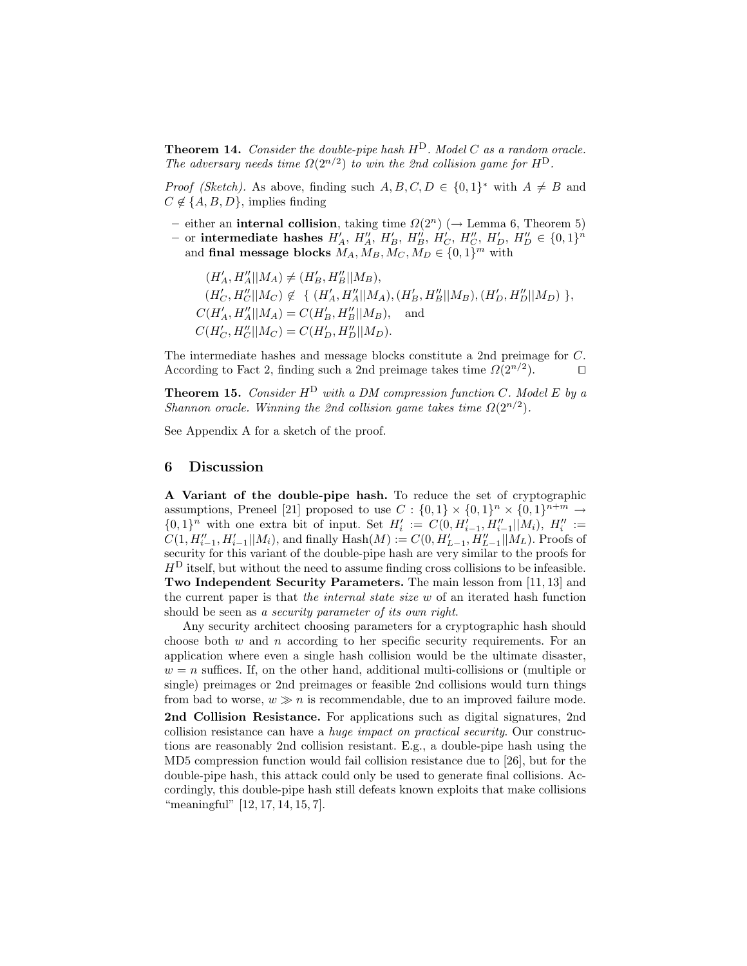**Theorem 14.** Consider the double-pipe hash  $H^D$ . Model C as a random oracle. The adversary needs time  $\Omega(2^{n/2})$  to win the 2nd collision game for  $H^{D}$ .

*Proof (Sketch)*. As above, finding such  $A, B, C, D \in \{0,1\}^*$  with  $A \neq B$  and  $C \notin \{A, B, D\}$ , implies finding

- either an **internal collision**, taking time  $\Omega(2^n)$  ( $\rightarrow$  Lemma 6, Theorem 5)
- or intermediate hashes  $H'_A$ ,  $H''_A$ ,  $H'_B$ ,  $H''_B$ ,  $H'_C$ ,  $H''_C$ ,  $H''_D$ ,  $H''_D \in \{0,1\}^n$ and final message blocks  $M_A, M_B, M_C, M_D \in \{0, 1\}^m$  with

$$
(H'_A, H''_A||M_A) \neq (H'_B, H''_B||M_B),
$$
  
\n
$$
(H'_C, H''_C||M_C) \notin \{ (H'_A, H''_A||M_A), (H'_B, H''_B||M_B), (H'_D, H''_D||M_D) \},
$$
  
\n
$$
C(H'_A, H''_A||M_A) = C(H'_B, H''_B||M_B),
$$
 and  
\n
$$
C(H'_C, H''_C||M_C) = C(H'_D, H''_D||M_D).
$$

The intermediate hashes and message blocks constitute a 2nd preimage for C. According to Fact 2, finding such a 2nd preimage takes time  $\Omega(2^{n/2})$ .  $\Box$ 

**Theorem 15.** Consider  $H^D$  with a DM compression function C. Model E by a Shannon oracle. Winning the 2nd collision game takes time  $\Omega(2^{n/2})$ .

See Appendix A for a sketch of the proof.

## 6 Discussion

A Variant of the double-pipe hash. To reduce the set of cryptographic assumptions, Preneel [21] proposed to use  $C: \{0,1\} \times \{0,1\}^n \times \{0,1\}^{n+m} \rightarrow$  $\{0,1\}^n$  with one extra bit of input. Set  $H'_i := C(0, H'_{i-1}, H''_{i-1} || M_i)$ ,  $H''_i :=$  $C(1, H''_{i-1}, H'_{i-1}||M_i)$ , and finally  $\text{Hash}(M) := C(0, H'_{L-1}, H''_{L-1}||M_L)$ . Proofs of security for this variant of the double-pipe hash are very similar to the proofs for  $H<sup>D</sup>$  itself, but without the need to assume finding cross collisions to be infeasible. Two Independent Security Parameters. The main lesson from [11, 13] and the current paper is that the internal state size  $w$  of an iterated hash function should be seen as a *security parameter of its own right*.

Any security architect choosing parameters for a cryptographic hash should choose both  $w$  and  $n$  according to her specific security requirements. For an application where even a single hash collision would be the ultimate disaster,  $w = n$  suffices. If, on the other hand, additional multi-collisions or (multiple or single) preimages or 2nd preimages or feasible 2nd collisions would turn things from bad to worse,  $w \gg n$  is recommendable, due to an improved failure mode. 2nd Collision Resistance. For applications such as digital signatures, 2nd collision resistance can have a huge impact on practical security. Our constructions are reasonably 2nd collision resistant. E.g., a double-pipe hash using the MD5 compression function would fail collision resistance due to [26], but for the double-pipe hash, this attack could only be used to generate final collisions. Accordingly, this double-pipe hash still defeats known exploits that make collisions "meaningful" [12, 17, 14, 15, 7].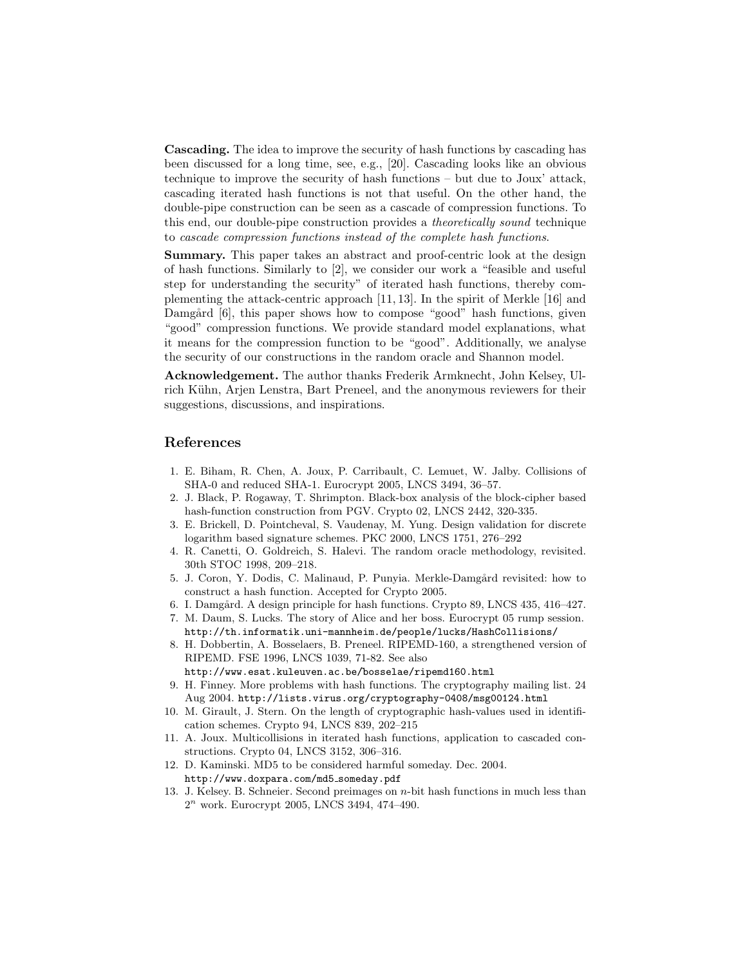Cascading. The idea to improve the security of hash functions by cascading has been discussed for a long time, see, e.g., [20]. Cascading looks like an obvious technique to improve the security of hash functions – but due to Joux' attack, cascading iterated hash functions is not that useful. On the other hand, the double-pipe construction can be seen as a cascade of compression functions. To this end, our double-pipe construction provides a theoretically sound technique to cascade compression functions instead of the complete hash functions.

Summary. This paper takes an abstract and proof-centric look at the design of hash functions. Similarly to [2], we consider our work a "feasible and useful step for understanding the security" of iterated hash functions, thereby complementing the attack-centric approach [11, 13]. In the spirit of Merkle [16] and Damgård [6], this paper shows how to compose "good" hash functions, given "good" compression functions. We provide standard model explanations, what it means for the compression function to be "good". Additionally, we analyse the security of our constructions in the random oracle and Shannon model.

Acknowledgement. The author thanks Frederik Armknecht, John Kelsey, Ulrich Kühn, Arjen Lenstra, Bart Preneel, and the anonymous reviewers for their suggestions, discussions, and inspirations.

## References

- 1. E. Biham, R. Chen, A. Joux, P. Carribault, C. Lemuet, W. Jalby. Collisions of SHA-0 and reduced SHA-1. Eurocrypt 2005, LNCS 3494, 36–57.
- 2. J. Black, P. Rogaway, T. Shrimpton. Black-box analysis of the block-cipher based hash-function construction from PGV. Crypto 02, LNCS 2442, 320-335.
- 3. E. Brickell, D. Pointcheval, S. Vaudenay, M. Yung. Design validation for discrete logarithm based signature schemes. PKC 2000, LNCS 1751, 276–292
- 4. R. Canetti, O. Goldreich, S. Halevi. The random oracle methodology, revisited. 30th STOC 1998, 209–218.
- 5. J. Coron, Y. Dodis, C. Malinaud, P. Punyia. Merkle-Damgård revisited: how to construct a hash function. Accepted for Crypto 2005.
- 6. I. Damgård. A design principle for hash functions. Crypto 89, LNCS 435, 416–427.
- 7. M. Daum, S. Lucks. The story of Alice and her boss. Eurocrypt 05 rump session. http://th.informatik.uni-mannheim.de/people/lucks/HashCollisions/
- 8. H. Dobbertin, A. Bosselaers, B. Preneel. RIPEMD-160, a strengthened version of RIPEMD. FSE 1996, LNCS 1039, 71-82. See also http://www.esat.kuleuven.ac.be/˜bosselae/ripemd160.html
- 9. H. Finney. More problems with hash functions. The cryptography mailing list. 24 Aug 2004. http://lists.virus.org/cryptography-0408/msg00124.html
- 10. M. Girault, J. Stern. On the length of cryptographic hash-values used in identification schemes. Crypto 94, LNCS 839, 202–215
- 11. A. Joux. Multicollisions in iterated hash functions, application to cascaded constructions. Crypto 04, LNCS 3152, 306–316.
- 12. D. Kaminski. MD5 to be considered harmful someday. Dec. 2004. http://www.doxpara.com/md5 someday.pdf
- 13. J. Kelsey. B. Schneier. Second preimages on n-bit hash functions in much less than  $2<sup>n</sup>$  work. Eurocrypt 2005, LNCS 3494, 474-490.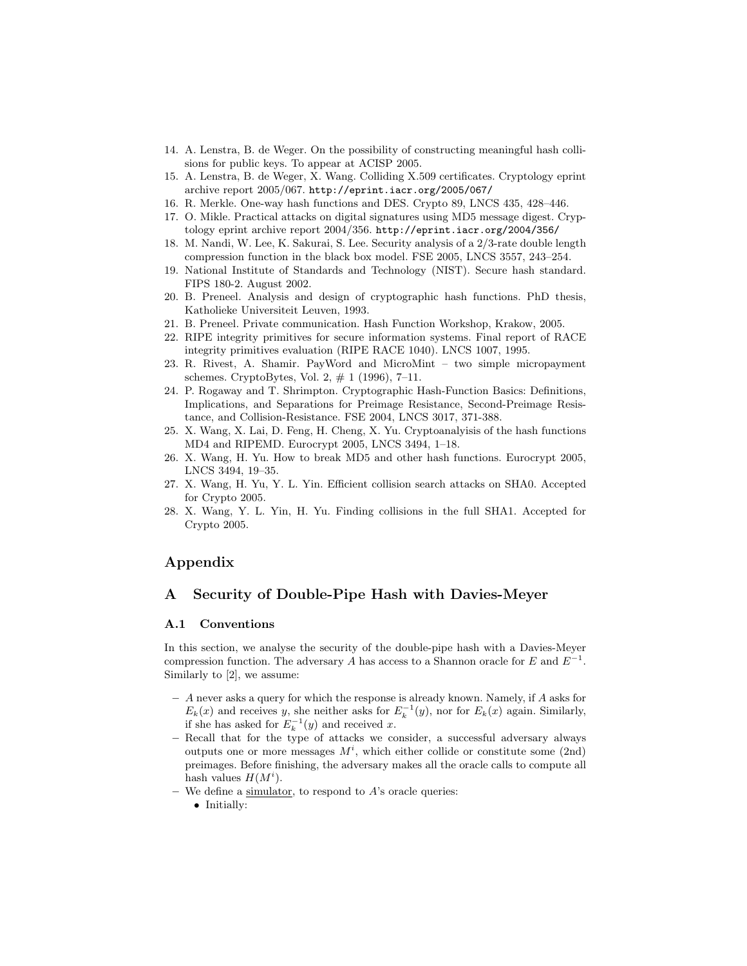- 14. A. Lenstra, B. de Weger. On the possibility of constructing meaningful hash collisions for public keys. To appear at ACISP 2005.
- 15. A. Lenstra, B. de Weger, X. Wang. Colliding X.509 certificates. Cryptology eprint archive report 2005/067. http://eprint.iacr.org/2005/067/
- 16. R. Merkle. One-way hash functions and DES. Crypto 89, LNCS 435, 428–446.
- 17. O. Mikle. Practical attacks on digital signatures using MD5 message digest. Cryptology eprint archive report 2004/356. http://eprint.iacr.org/2004/356/
- 18. M. Nandi, W. Lee, K. Sakurai, S. Lee. Security analysis of a 2/3-rate double length compression function in the black box model. FSE 2005, LNCS 3557, 243–254.
- 19. National Institute of Standards and Technology (NIST). Secure hash standard. FIPS 180-2. August 2002.
- 20. B. Preneel. Analysis and design of cryptographic hash functions. PhD thesis, Katholieke Universiteit Leuven, 1993.
- 21. B. Preneel. Private communication. Hash Function Workshop, Krakow, 2005.
- 22. RIPE integrity primitives for secure information systems. Final report of RACE integrity primitives evaluation (RIPE RACE 1040). LNCS 1007, 1995.
- 23. R. Rivest, A. Shamir. PayWord and MicroMint two simple micropayment schemes. CryptoBytes, Vol. 2,  $\#$  1 (1996), 7–11.
- 24. P. Rogaway and T. Shrimpton. Cryptographic Hash-Function Basics: Definitions, Implications, and Separations for Preimage Resistance, Second-Preimage Resistance, and Collision-Resistance. FSE 2004, LNCS 3017, 371-388.
- 25. X. Wang, X. Lai, D. Feng, H. Cheng, X. Yu. Cryptoanalyisis of the hash functions MD4 and RIPEMD. Eurocrypt 2005, LNCS 3494, 1–18.
- 26. X. Wang, H. Yu. How to break MD5 and other hash functions. Eurocrypt 2005, LNCS 3494, 19–35.
- 27. X. Wang, H. Yu, Y. L. Yin. Efficient collision search attacks on SHA0. Accepted for Crypto 2005.
- 28. X. Wang, Y. L. Yin, H. Yu. Finding collisions in the full SHA1. Accepted for Crypto 2005.

## Appendix

## A Security of Double-Pipe Hash with Davies-Meyer

## A.1 Conventions

In this section, we analyse the security of the double-pipe hash with a Davies-Meyer compression function. The adversary A has access to a Shannon oracle for E and  $E^{-1}$ . Similarly to [2], we assume:

- $-$  A never asks a query for which the response is already known. Namely, if  $A$  asks for  $E_k(x)$  and receives y, she neither asks for  $E_k^{-1}(y)$ , nor for  $E_k(x)$  again. Similarly, if she has asked for  $E_k^{-1}(y)$  and received x.
- Recall that for the type of attacks we consider, a successful adversary always outputs one or more messages  $M^i$ , which either collide or constitute some (2nd) preimages. Before finishing, the adversary makes all the oracle calls to compute all hash values  $H(M^i)$ .
- We define a simulator, to respond to  $A$ 's oracle queries:
	- Initially: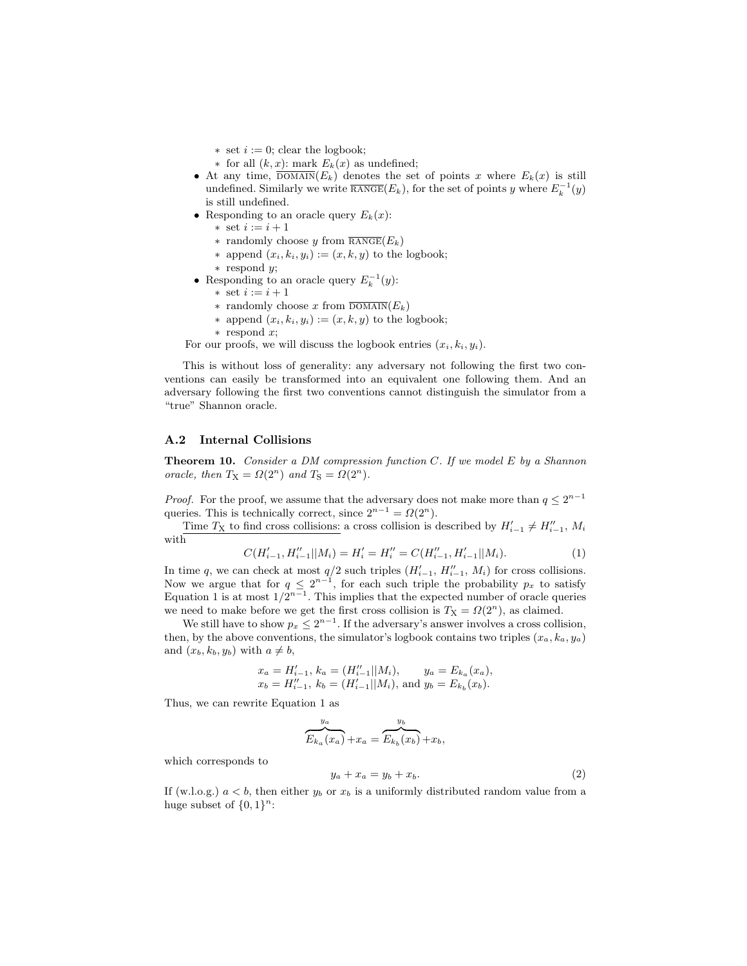$\ast$  set  $i := 0$ ; clear the logbook;

- ∗ for all (k, x): mark Ek(x) as undefined;
- At any time,  $\overline{\text{DOMAIN}}(E_k)$  denotes the set of points x where  $E_k(x)$  is still undefined. Similarly we write  $\overline{\text{RANGE}}(E_k)$ , for the set of points y where  $E_k^{-1}(y)$ is still undefined.
- Responding to an oracle query  $E_k(x)$ :
	- ∗ set i := i + 1
	- ∗ randomly choose y from  $\overline{\text{RANGE}}(E_k)$
	- ∗ append  $(x_i, k_i, y_i) := (x, k, y)$  to the logbook; ∗ respond y;
- Responding to an oracle query  $E_k^{-1}(y)$ :
	- ∗ set i := i + 1
	- ∗ randomly choose x from  $\overline{\text{DOMAIN}}(E_k)$
	- ∗ append (xi, ki, yi) := (x, k, y) to the logbook;
	- ∗ respond x;

For our proofs, we will discuss the logbook entries  $(x_i, k_i, y_i)$ .

This is without loss of generality: any adversary not following the first two conventions can easily be transformed into an equivalent one following them. And an adversary following the first two conventions cannot distinguish the simulator from a "true" Shannon oracle.

#### A.2 Internal Collisions

**Theorem 10.** Consider a DM compression function  $C$ . If we model  $E$  by a Shannon oracle, then  $T_X = \Omega(2^n)$  and  $T_S = \Omega(2^n)$ .

*Proof.* For the proof, we assume that the adversary does not make more than  $q \leq 2^{n-1}$ queries. This is technically correct, since  $2^{n-1} = \Omega(2^n)$ .

Time  $T<sub>X</sub>$  to find cross collisions: a cross collision is described by  $H'_{i-1} \neq H''_{i-1}$ ,  $M_i$ with

$$
C(H'_{i-1}, H''_{i-1}||M_i) = H'_i = H''_i = C(H''_{i-1}, H'_{i-1}||M_i).
$$
\n(1)

In time q, we can check at most  $q/2$  such triples  $(H'_{i-1}, H''_{i-1}, M_i)$  for cross collisions. Now we argue that for  $q \leq 2^{n-1}$ , for each such triple the probability  $p_x$  to satisfy Equation 1 is at most  $1/2^{n-1}$ . This implies that the expected number of oracle queries we need to make before we get the first cross collision is  $T_X = \Omega(2^n)$ , as claimed.

We still have to show  $p_x \leq 2^{n-1}$ . If the adversary's answer involves a cross collision, then, by the above conventions, the simulator's logbook contains two triples  $(x_a, k_a, y_a)$ and  $(x_b, k_b, y_b)$  with  $a \neq b$ ,

$$
x_a = H'_{i-1}, k_a = (H''_{i-1}||M_i),
$$
  $y_a = E_{k_a}(x_a),$   
\n $x_b = H''_{i-1}, k_b = (H'_{i-1}||M_i),$  and  $y_b = E_{k_b}(x_b).$ 

Thus, we can rewrite Equation 1 as

$$
\overbrace{E_{k_a}(x_a)}^{y_a}+x_a=\overbrace{E_{k_b}(x_b)}^{y_b}+x_b,
$$

which corresponds to

$$
y_a + x_a = y_b + x_b. \tag{2}
$$

If (w.l.o.g.)  $a < b$ , then either  $y_b$  or  $x_b$  is a uniformly distributed random value from a huge subset of  $\{0,1\}^n$ :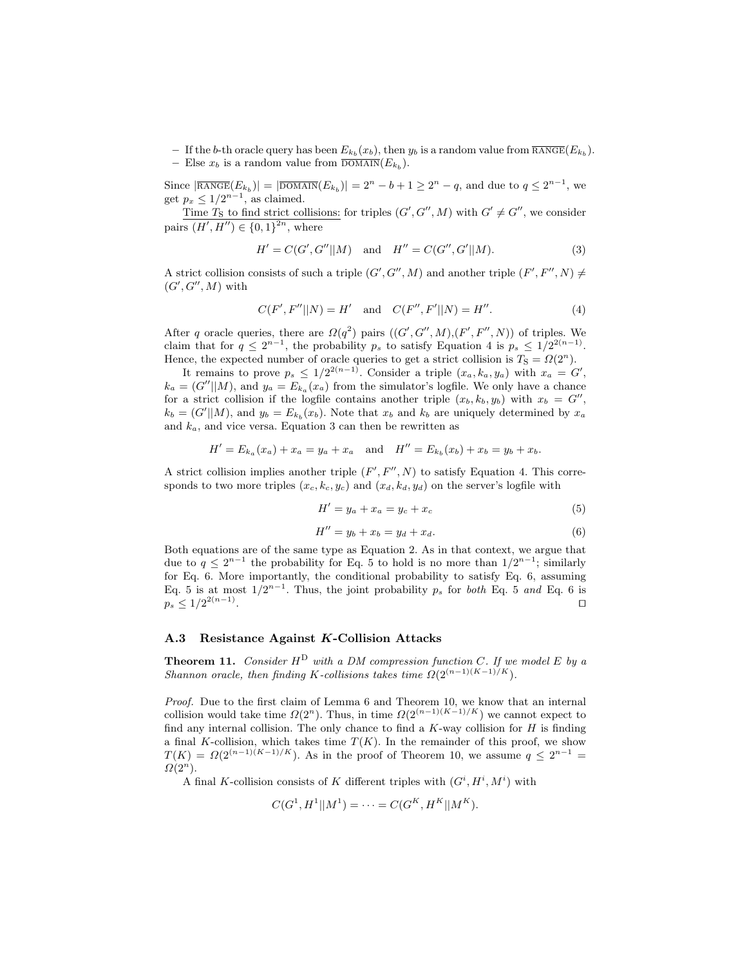- If the b-th oracle query has been  $E_{k_b}(x_b)$ , then  $y_b$  is a random value from  $\overline{\text{RANGE}}(E_{k_b})$ . - Else  $x_b$  is a random value from  $\overline{\text{DOMAIN}}(E_{k_b})$ .

Since  $|\overline{\text{RMGE}}(E_{k_b})| = |\overline{\text{DOMAIN}}(E_{k_b})| = 2^n - b + 1 \geq 2^n - q$ , and due to  $q \leq 2^{n-1}$ , we get  $p_x \leq 1/2^{n-1}$ , as claimed.

Time  $T_S$  to find strict collisions: for triples  $(G', G'', M)$  with  $G' \neq G''$ , we consider pairs  $(H', H'') \in \{0, 1\}^{2n}$ , where

$$
H' = C(G', G''||M) \text{ and } H'' = C(G'', G'||M).
$$
 (3)

A strict collision consists of such a triple  $(G', G'', M)$  and another triple  $(F', F'', N) \neq$  $(G', G'', M)$  with

$$
C(F', F''||N) = H' \text{ and } C(F'', F'||N) = H''.
$$
 (4)

After q oracle queries, there are  $\Omega(q^2)$  pairs  $((G', G'', M), (F', F'', N))$  of triples. We claim that for  $q \leq 2^{n-1}$ , the probability  $p_s$  to satisfy Equation 4 is  $p_s \leq 1/2^{2(n-1)}$ . Hence, the expected number of oracle queries to get a strict collision is  $T_s = \Omega(2^n)$ .

It remains to prove  $p_s \leq 1/2^{2(n-1)}$ . Consider a triple  $(x_a, k_a, y_a)$  with  $x_a = G'$ ,  $k_a = (G''||M)$ , and  $y_a = E_{k_a}(x_a)$  from the simulator's logfile. We only have a chance for a strict collision if the logfile contains another triple  $(x_b, k_b, y_b)$  with  $x_b = G''$ ,  $k_b = (G'||M)$ , and  $y_b = E_{k_b}(x_b)$ . Note that  $x_b$  and  $k_b$  are uniquely determined by  $x_a$ and  $k_a$ , and vice versa. Equation 3 can then be rewritten as

$$
H' = E_{k_a}(x_a) + x_a = y_a + x_a \text{ and } H'' = E_{k_b}(x_b) + x_b = y_b + x_b.
$$

A strict collision implies another triple  $(F', F'', N)$  to satisfy Equation 4. This corresponds to two more triples  $(x_c, k_c, y_c)$  and  $(x_d, k_d, y_d)$  on the server's logfile with

$$
H' = y_a + x_a = y_c + x_c \tag{5}
$$

$$
H'' = y_b + x_b = y_d + x_d.
$$
 (6)

Both equations are of the same type as Equation 2. As in that context, we argue that due to  $q \leq 2^{n-1}$  the probability for Eq. 5 to hold is no more than  $1/2^{n-1}$ ; similarly for Eq. 6. More importantly, the conditional probability to satisfy Eq. 6, assuming Eq. 5 is at most  $1/2^{n-1}$ . Thus, the joint probability  $p_s$  for both Eq. 5 and Eq. 6 is  $p_s \leq 1/2^{2(n-1)}$ . The contract of the contract of the contract of the contract of the contract of the contract of the contract of the contract of the contract of the contract of the contract of the contract of the contract of the contract

## A.3 Resistance Against K-Collision Attacks

**Theorem 11.** Consider  $H^D$  with a DM compression function C. If we model E by a Shannon oracle, then finding K-collisions takes time  $\Omega(2^{(n-1)(K-1)/K})$ .

Proof. Due to the first claim of Lemma 6 and Theorem 10, we know that an internal collision would take time  $\Omega(2^n)$ . Thus, in time  $\Omega(2^{(n-1)(K-1)/K})$  we cannot expect to find any internal collision. The only chance to find a  $K$ -way collision for  $H$  is finding a final K-collision, which takes time  $T(K)$ . In the remainder of this proof, we show  $T(K) = \Omega(2^{(n-1)(K-1)/K})$ . As in the proof of Theorem 10, we assume  $q \leq 2^{n-1}$  $\Omega(2^n)$ .

A final K-collision consists of K different triples with  $(G^i, H^i, M^i)$  with

$$
C(G^1, H^1||M^1) = \cdots = C(G^K, H^K||M^K).
$$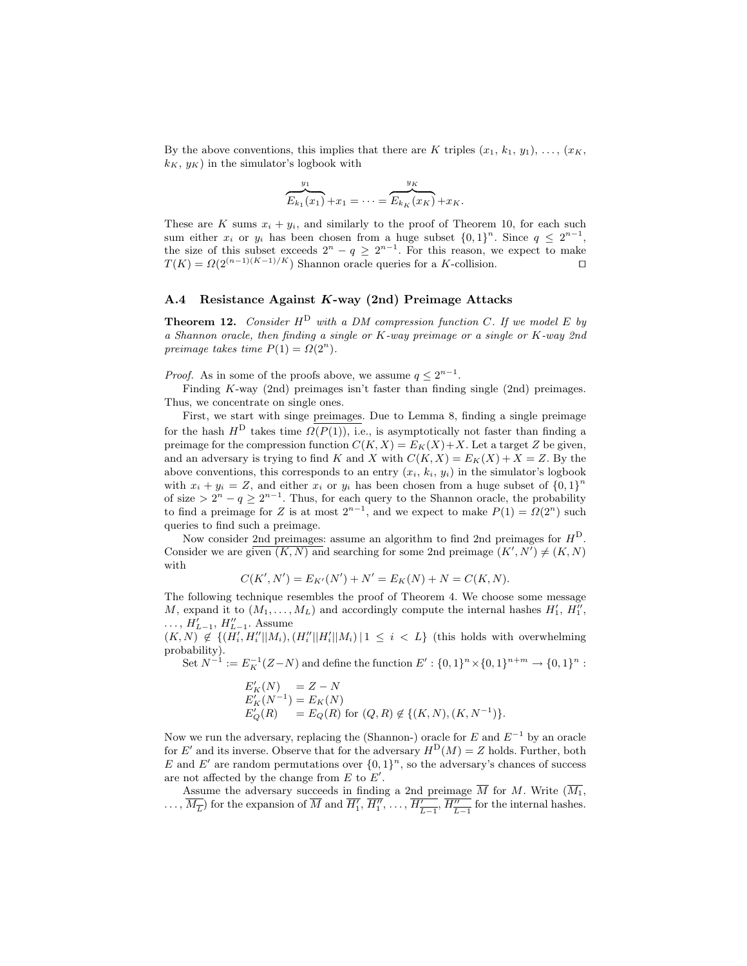By the above conventions, this implies that there are K triples  $(x_1, k_1, y_1), \ldots, (x_K,$  $k_K, y_K$ ) in the simulator's logbook with

$$
\overbrace{E_{k_1}(x_1)}^{y_1} + x_1 = \cdots = \overbrace{E_{k_K}(x_K)}^{y_K} + x_K.
$$

These are K sums  $x_i + y_i$ , and similarly to the proof of Theorem 10, for each such sum either  $x_i$  or  $y_i$  has been chosen from a huge subset  $\{0,1\}^n$ . Since  $q \leq 2^{n-1}$ , the size of this subset exceeds  $2^{n} - q \ge 2^{n-1}$ . For this reason, we expect to make  $T(K) = \Omega(2^{(n-1)(K-1)/K})$  Shannon oracle queries for a K-collision.

#### A.4 Resistance Against K-way (2nd) Preimage Attacks

**Theorem 12.** Consider  $H^D$  with a DM compression function C. If we model E by a Shannon oracle, then finding a single or K-way preimage or a single or K-way 2nd preimage takes time  $P(1) = \Omega(2^n)$ .

*Proof.* As in some of the proofs above, we assume  $q \leq 2^{n-1}$ .

Finding K-way (2nd) preimages isn't faster than finding single (2nd) preimages. Thus, we concentrate on single ones.

First, we start with singe preimages. Due to Lemma 8, finding a single preimage for the hash  $H^D$  takes time  $\Omega(P(1))$ , i.e., is asymptotically not faster than finding a preimage for the compression function  $C(K, X) = E_K(X) + X$ . Let a target Z be given, and an adversary is trying to find K and X with  $C(K, X) = E_K(X) + X = Z$ . By the above conventions, this corresponds to an entry  $(x_i, k_i, y_i)$  in the simulator's logbook with  $x_i + y_i = Z$ , and either  $x_i$  or  $y_i$  has been chosen from a huge subset of  $\{0,1\}^n$ of size >  $2^n - q \ge 2^{n-1}$ . Thus, for each query to the Shannon oracle, the probability to find a preimage for Z is at most  $2^{n-1}$ , and we expect to make  $P(1) = \Omega(2^n)$  such queries to find such a preimage.

Now consider 2nd preimages: assume an algorithm to find 2nd preimages for  $H<sup>D</sup>$ . Consider we are given  $(K, N)$  and searching for some 2nd preimage  $(K', N') \neq (K, N)$ with

$$
C(K', N') = E_{K'}(N') + N' = E_K(N) + N = C(K, N).
$$

The following technique resembles the proof of Theorem 4. We choose some message M, expand it to  $(M_1, \ldots, M_L)$  and accordingly compute the internal hashes  $H'_1, H''_1$ ,  $\ldots$ ,  $H'_{L-1}$ ,  $H''_{L-1}$ . Assume

 $(K, N) \notin \{(H'_i, H''_i||M_i), (H''_i||H'_i||M_i) | 1 \leq i \leq L\}$  (this holds with overwhelming probability).

Set  $N^{-1} := E_K^{-1}(Z-N)$  and define the function  $E' : \{0,1\}^n \times \{0,1\}^{n+m} \to \{0,1\}^n$ :

$$
E'_{K}(N) = Z - N
$$
  
\n
$$
E'_{K}(N^{-1}) = E_{K}(N)
$$
  
\n
$$
E'_{Q}(R) = E_{Q}(R) \text{ for } (Q, R) \notin \{(K, N), (K, N^{-1})\}.
$$

Now we run the adversary, replacing the (Shannon-) oracle for E and  $E^{-1}$  by an oracle for E' and its inverse. Observe that for the adversary  $H^D(M) = Z$  holds. Further, both E and E' are random permutations over  $\{0,1\}^n$ , so the adversary's chances of success are not affected by the change from  $E$  to  $E'$ .

Assume the adversary succeeds in finding a 2nd preimage  $M$  for  $M$ . Write  $(M_1,$  $\ldots, \overline{M_{\overline{L}}}\)$  for the expansion of  $\overline{M}$  and  $\overline{H_1'}, \overline{H_1''}, \ldots, \overline{H_{\overline{L-1}}'}$ ,  $\overline{H_{\overline{L-1}}''}\$  for the internal hashes.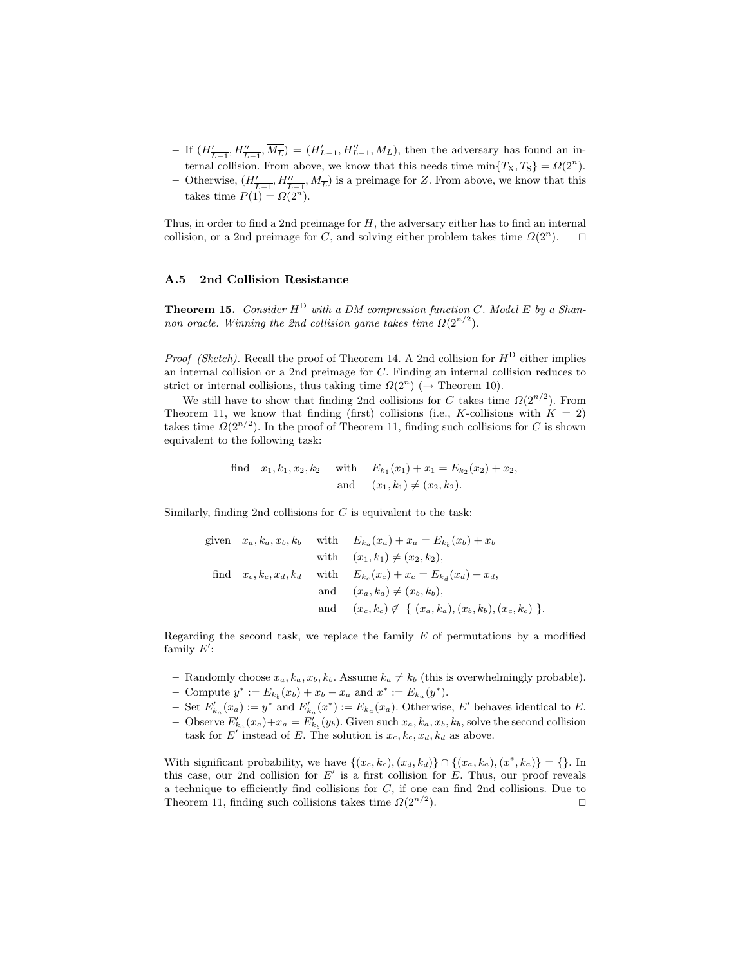- If  $(\overline{H'_{\overline{L-1}}}, \overline{H''_{\overline{L-1}}}, \overline{M_{\overline{L}}}) = (H'_{L-1}, H''_{L-1}, M_L)$ , then the adversary has found an internal collision. From above, we know that this needs time  $\min\{T_X, T_S\} = \Omega(2^n)$ .
- − Otherwise,  $(\overline{H'_{\overline{L-1}}}, \overline{H''_{\overline{L-1}}}, \overline{M_{\overline{L}}})$  is a preimage for Z. From above, we know that this takes time  $P(1) = \Omega(2^n)$ .

Thus, in order to find a 2nd preimage for  $H$ , the adversary either has to find an internal collision, or a 2nd preimage for C, and solving either problem takes time  $\Omega(2^n)$ .  $\Box$ 

## A.5 2nd Collision Resistance

**Theorem 15.** Consider  $H^D$  with a DM compression function C. Model E by a Shannon oracle. Winning the 2nd collision game takes time  $\Omega(2^{n/2})$ .

*Proof (Sketch)*. Recall the proof of Theorem 14. A 2nd collision for  $H^D$  either implies an internal collision or a 2nd preimage for C. Finding an internal collision reduces to strict or internal collisions, thus taking time  $\Omega(2^n)$  ( $\rightarrow$  Theorem 10).

We still have to show that finding 2nd collisions for C takes time  $\Omega(2^{n/2})$ . From Theorem 11, we know that finding (first) collisions (i.e., K-collisions with  $K = 2$ ) takes time  $\Omega(2^{n/2})$ . In the proof of Theorem 11, finding such collisions for C is shown equivalent to the following task:

find 
$$
x_1, k_1, x_2, k_2
$$
 with  $E_{k_1}(x_1) + x_1 = E_{k_2}(x_2) + x_2$ ,  
and  $(x_1, k_1) \neq (x_2, k_2)$ .

Similarly, finding 2nd collisions for  $C$  is equivalent to the task:

given 
$$
x_a, k_a, x_b, k_b
$$
 with  $E_{k_a}(x_a) + x_a = E_{k_b}(x_b) + x_b$   
\nwith  $(x_1, k_1) \neq (x_2, k_2)$ ,  
\nfind  $x_c, k_c, x_d, k_d$  with  $E_{k_c}(x_c) + x_c = E_{k_d}(x_d) + x_d$ ,  
\nand  $(x_a, k_a) \neq (x_b, k_b)$ ,  
\nand  $(x_c, k_c) \notin \{(x_a, k_a), (x_b, k_b), (x_c, k_c)\}$ .

Regarding the second task, we replace the family  $E$  of permutations by a modified family  $E'$ :

- Randomly choose  $x_a, k_a, x_b, k_b$ . Assume  $k_a \neq k_b$  (this is overwhelmingly probable).
- − Compute  $y^* := E_{k_b}(x_b) + x_b x_a$  and  $x^* := E_{k_a}(y^*).$
- − Set  $E'_{k_a}(x_a) := y^*$  and  $E'_{k_a}(x^*) := E_{k_a}(x_a)$ . Otherwise, E' behaves identical to E.
- Observe  $E'_{k_a}(x_a)+x_a=E'_{k_b}(y_b)$ . Given such  $x_a, k_a, x_b, k_b$ , solve the second collision task for E' instead of E. The solution is  $x_c, k_c, x_d, k_d$  as above.

With significant probability, we have  $\{(x_c, k_c), (x_d, k_d)\} \cap \{(x_a, k_a), (x^*, k_a)\} = \{\}.$  In this case, our 2nd collision for  $E'$  is a first collision for  $E$ . Thus, our proof reveals a technique to efficiently find collisions for  $C$ , if one can find 2nd collisions. Due to Theorem 11, finding such collisions takes time  $\Omega(2^{n/2})$ . ).  $\qquad \qquad \Box$